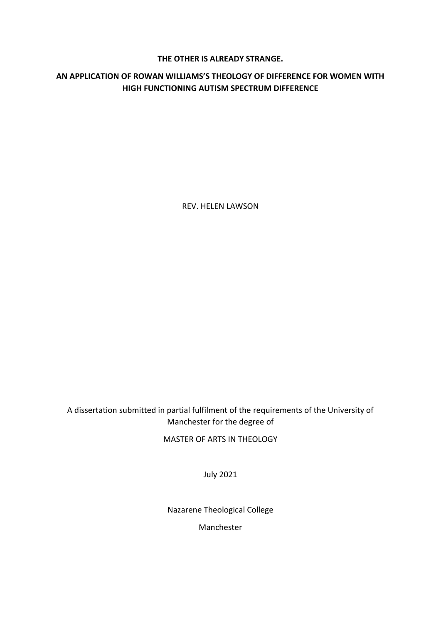# **THE OTHER IS ALREADY STRANGE.**

# **AN APPLICATION OF ROWAN WILLIAMS'S THEOLOGY OF DIFFERENCE FOR WOMEN WITH HIGH FUNCTIONING AUTISM SPECTRUM DIFFERENCE**

REV. HELEN LAWSON

A dissertation submitted in partial fulfilment of the requirements of the University of Manchester for the degree of

MASTER OF ARTS IN THEOLOGY

July 2021

Nazarene Theological College

Manchester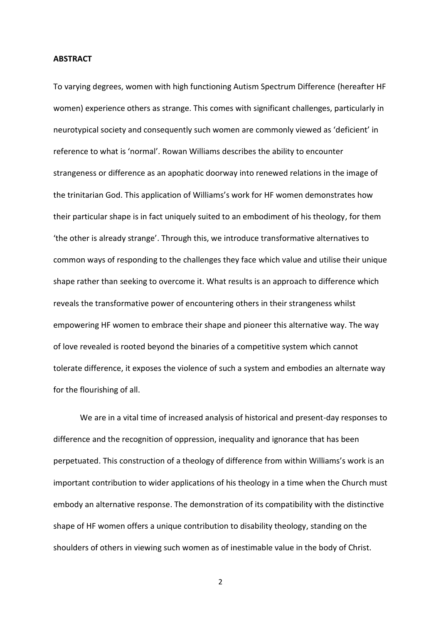#### **ABSTRACT**

To varying degrees, women with high functioning Autism Spectrum Difference (hereafter HF women) experience others as strange. This comes with significant challenges, particularly in neurotypical society and consequently such women are commonly viewed as 'deficient' in reference to what is 'normal'. Rowan Williams describes the ability to encounter strangeness or difference as an apophatic doorway into renewed relations in the image of the trinitarian God. This application of Williams's work for HF women demonstrates how their particular shape is in fact uniquely suited to an embodiment of his theology, for them 'the other is already strange'. Through this, we introduce transformative alternatives to common ways of responding to the challenges they face which value and utilise their unique shape rather than seeking to overcome it. What results is an approach to difference which reveals the transformative power of encountering others in their strangeness whilst empowering HF women to embrace their shape and pioneer this alternative way. The way of love revealed is rooted beyond the binaries of a competitive system which cannot tolerate difference, it exposes the violence of such a system and embodies an alternate way for the flourishing of all.

We are in a vital time of increased analysis of historical and present-day responses to difference and the recognition of oppression, inequality and ignorance that has been perpetuated. This construction of a theology of difference from within Williams's work is an important contribution to wider applications of his theology in a time when the Church must embody an alternative response. The demonstration of its compatibility with the distinctive shape of HF women offers a unique contribution to disability theology, standing on the shoulders of others in viewing such women as of inestimable value in the body of Christ.

2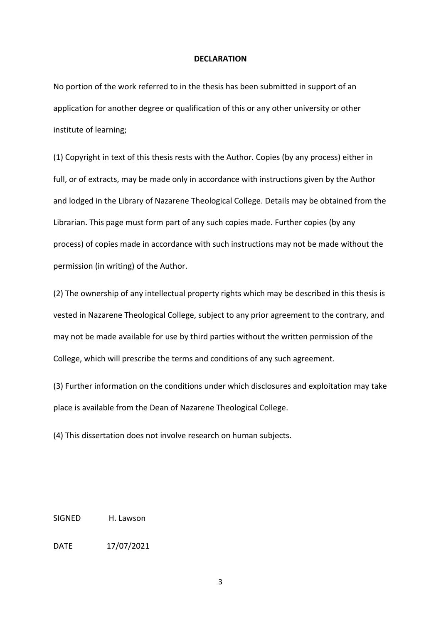#### **DECLARATION**

No portion of the work referred to in the thesis has been submitted in support of an application for another degree or qualification of this or any other university or other institute of learning;

(1) Copyright in text of this thesis rests with the Author. Copies (by any process) either in full, or of extracts, may be made only in accordance with instructions given by the Author and lodged in the Library of Nazarene Theological College. Details may be obtained from the Librarian. This page must form part of any such copies made. Further copies (by any process) of copies made in accordance with such instructions may not be made without the permission (in writing) of the Author.

(2) The ownership of any intellectual property rights which may be described in this thesis is vested in Nazarene Theological College, subject to any prior agreement to the contrary, and may not be made available for use by third parties without the written permission of the College, which will prescribe the terms and conditions of any such agreement.

(3) Further information on the conditions under which disclosures and exploitation may take place is available from the Dean of Nazarene Theological College.

(4) This dissertation does not involve research on human subjects.

SIGNED H. Lawson

DATE 17/07/2021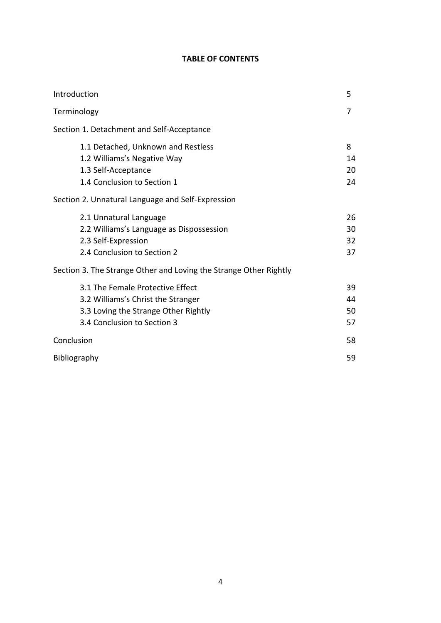# **TABLE OF CONTENTS**

| Introduction                                                                                                                                  | 5                    |
|-----------------------------------------------------------------------------------------------------------------------------------------------|----------------------|
| Terminology                                                                                                                                   | 7                    |
| Section 1. Detachment and Self-Acceptance                                                                                                     |                      |
| 1.1 Detached, Unknown and Restless<br>1.2 Williams's Negative Way<br>1.3 Self-Acceptance<br>1.4 Conclusion to Section 1                       | 8<br>14<br>20<br>24  |
| Section 2. Unnatural Language and Self-Expression                                                                                             |                      |
| 2.1 Unnatural Language<br>2.2 Williams's Language as Dispossession<br>2.3 Self-Expression<br>2.4 Conclusion to Section 2                      | 26<br>30<br>32<br>37 |
| Section 3. The Strange Other and Loving the Strange Other Rightly                                                                             |                      |
| 3.1 The Female Protective Effect<br>3.2 Williams's Christ the Stranger<br>3.3 Loving the Strange Other Rightly<br>3.4 Conclusion to Section 3 | 39<br>44<br>50<br>57 |
| Conclusion                                                                                                                                    | 58                   |
| Bibliography                                                                                                                                  | 59                   |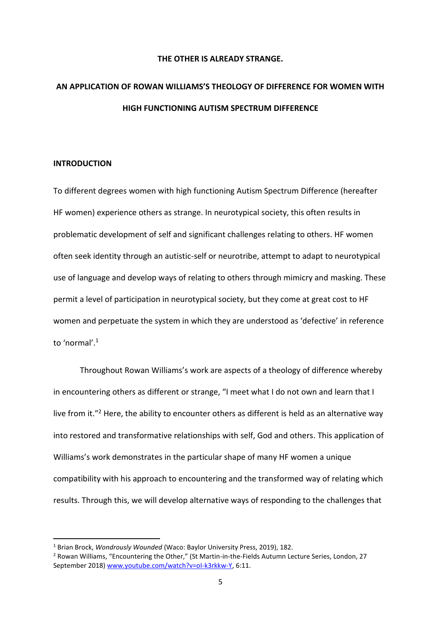# **THE OTHER IS ALREADY STRANGE.**

# **AN APPLICATION OF ROWAN WILLIAMS'S THEOLOGY OF DIFFERENCE FOR WOMEN WITH HIGH FUNCTIONING AUTISM SPECTRUM DIFFERENCE**

#### **INTRODUCTION**

To different degrees women with high functioning Autism Spectrum Difference (hereafter HF women) experience others as strange. In neurotypical society, this often results in problematic development of self and significant challenges relating to others. HF women often seek identity through an autistic-self or neurotribe, attempt to adapt to neurotypical use of language and develop ways of relating to others through mimicry and masking. These permit a level of participation in neurotypical society, but they come at great cost to HF women and perpetuate the system in which they are understood as 'defective' in reference to 'normal'.<sup>1</sup>

Throughout Rowan Williams's work are aspects of a theology of difference whereby in encountering others as different or strange, "I meet what I do not own and learn that I live from it."<sup>2</sup> Here, the ability to encounter others as different is held as an alternative way into restored and transformative relationships with self, God and others. This application of Williams's work demonstrates in the particular shape of many HF women a unique compatibility with his approach to encountering and the transformed way of relating which results. Through this, we will develop alternative ways of responding to the challenges that

<sup>1</sup> Brian Brock, *Wondrously Wounded* (Waco: Baylor University Press, 2019), 182.

<sup>2</sup> Rowan Williams, "Encountering the Other," (St Martin-in-the-Fields Autumn Lecture Series, London, 27 September 2018[\) www.youtube.com/watch?v=oI-k3rkkw-Y,](about:blank) 6:11.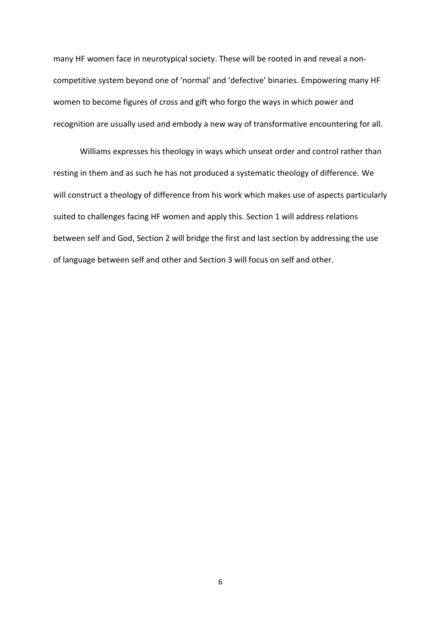many HF women face in neurotypical society. These will be rooted in and reveal a noncompetitive system beyond one of 'normal' and 'defective' binaries. Empowering many HF women to become figures of cross and gift who forgo the ways in which power and recognition are usually used and embody a new way of transformative encountering for all.

Williams expresses his theology in ways which unseat order and control rather than resting in them and as such he has not produced a systematic theology of difference. We will construct a theology of difference from his work which makes use of aspects particularly suited to challenges facing HF women and apply this. Section 1 will address relations between self and God, Section 2 will bridge the first and last section by addressing the use of language between self and other and Section 3 will focus on self and other.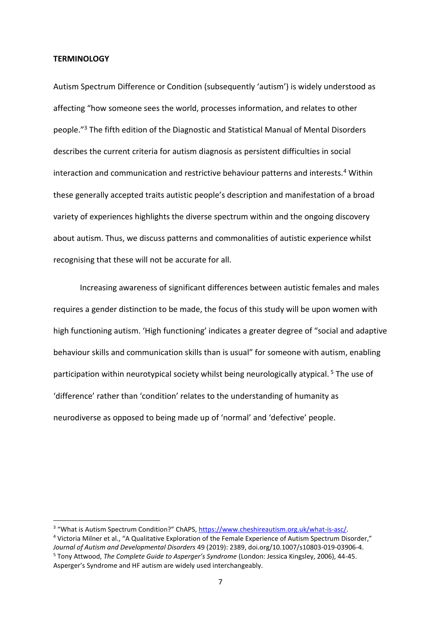#### **TERMINOLOGY**

Autism Spectrum Difference or Condition (subsequently 'autism') is widely understood as affecting "how someone sees the world, processes information, and relates to other people."<sup>3</sup> The fifth edition of the Diagnostic and Statistical Manual of Mental Disorders describes the current criteria for autism diagnosis as persistent difficulties in social interaction and communication and restrictive behaviour patterns and interests.<sup>4</sup> Within these generally accepted traits autistic people's description and manifestation of a broad variety of experiences highlights the diverse spectrum within and the ongoing discovery about autism. Thus, we discuss patterns and commonalities of autistic experience whilst recognising that these will not be accurate for all.

Increasing awareness of significant differences between autistic females and males requires a gender distinction to be made, the focus of this study will be upon women with high functioning autism. 'High functioning' indicates a greater degree of "social and adaptive behaviour skills and communication skills than is usual" for someone with autism, enabling participation within neurotypical society whilst being neurologically atypical.<sup>5</sup> The use of 'difference' rather than 'condition' relates to the understanding of humanity as neurodiverse as opposed to being made up of 'normal' and 'defective' people.

<sup>&</sup>lt;sup>3</sup> "What is Autism Spectrum Condition?" ChAPS, [https://www.cheshireautism.org.uk/what-is-asc/.](about:blank)

<sup>4</sup> Victoria Milner et al., "A Qualitative Exploration of the Female Experience of Autism Spectrum Disorder," *Journal of Autism and Developmental Disorders* 49 (2019): 2389, doi.org/10.1007/s10803-019-03906-4. <sup>5</sup> Tony Attwood, *The Complete Guide to Asperger's Syndrome* (London: Jessica Kingsley, 2006), 44-45. Asperger's Syndrome and HF autism are widely used interchangeably.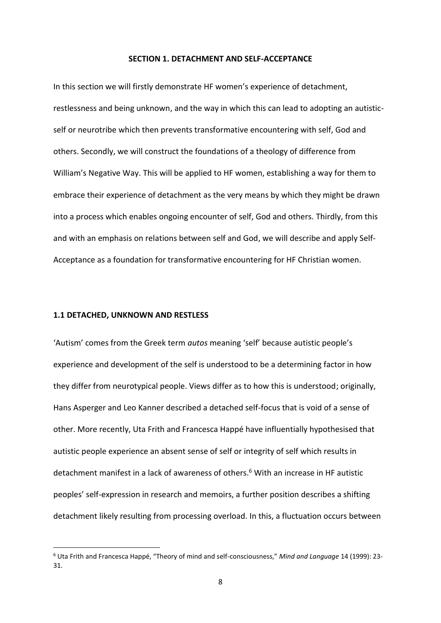#### **SECTION 1. DETACHMENT AND SELF-ACCEPTANCE**

In this section we will firstly demonstrate HF women's experience of detachment, restlessness and being unknown, and the way in which this can lead to adopting an autisticself or neurotribe which then prevents transformative encountering with self, God and others. Secondly, we will construct the foundations of a theology of difference from William's Negative Way. This will be applied to HF women, establishing a way for them to embrace their experience of detachment as the very means by which they might be drawn into a process which enables ongoing encounter of self, God and others. Thirdly, from this and with an emphasis on relations between self and God, we will describe and apply Self-Acceptance as a foundation for transformative encountering for HF Christian women.

#### **1.1 DETACHED, UNKNOWN AND RESTLESS**

'Autism' comes from the Greek term *autos* meaning 'self' because autistic people's experience and development of the self is understood to be a determining factor in how they differ from neurotypical people. Views differ as to how this is understood; originally, Hans Asperger and Leo Kanner described a detached self-focus that is void of a sense of other. More recently, Uta Frith and Francesca Happé have influentially hypothesised that autistic people experience an absent sense of self or integrity of self which results in detachment manifest in a lack of awareness of others.<sup>6</sup> With an increase in HF autistic peoples' self-expression in research and memoirs, a further position describes a shifting detachment likely resulting from processing overload. In this, a fluctuation occurs between

<sup>6</sup> Uta Frith and Francesca Happé, "Theory of mind and self-consciousness," *Mind and Language* 14 (1999): 23- 31.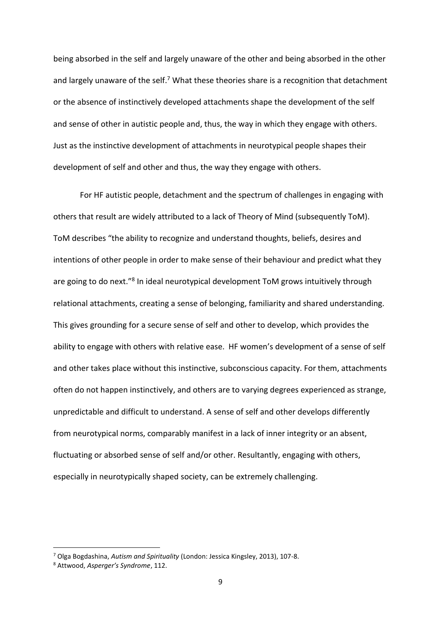being absorbed in the self and largely unaware of the other and being absorbed in the other and largely unaware of the self.<sup>7</sup> What these theories share is a recognition that detachment or the absence of instinctively developed attachments shape the development of the self and sense of other in autistic people and, thus, the way in which they engage with others. Just as the instinctive development of attachments in neurotypical people shapes their development of self and other and thus, the way they engage with others.

For HF autistic people, detachment and the spectrum of challenges in engaging with others that result are widely attributed to a lack of Theory of Mind (subsequently ToM). ToM describes "the ability to recognize and understand thoughts, beliefs, desires and intentions of other people in order to make sense of their behaviour and predict what they are going to do next."<sup>8</sup> In ideal neurotypical development ToM grows intuitively through relational attachments, creating a sense of belonging, familiarity and shared understanding. This gives grounding for a secure sense of self and other to develop, which provides the ability to engage with others with relative ease. HF women's development of a sense of self and other takes place without this instinctive, subconscious capacity. For them, attachments often do not happen instinctively, and others are to varying degrees experienced as strange, unpredictable and difficult to understand. A sense of self and other develops differently from neurotypical norms, comparably manifest in a lack of inner integrity or an absent, fluctuating or absorbed sense of self and/or other. Resultantly, engaging with others, especially in neurotypically shaped society, can be extremely challenging.

<sup>7</sup> Olga Bogdashina, *Autism and Spirituality* (London: Jessica Kingsley, 2013), 107-8.

<sup>8</sup> Attwood, *Asperger's Syndrome*, 112.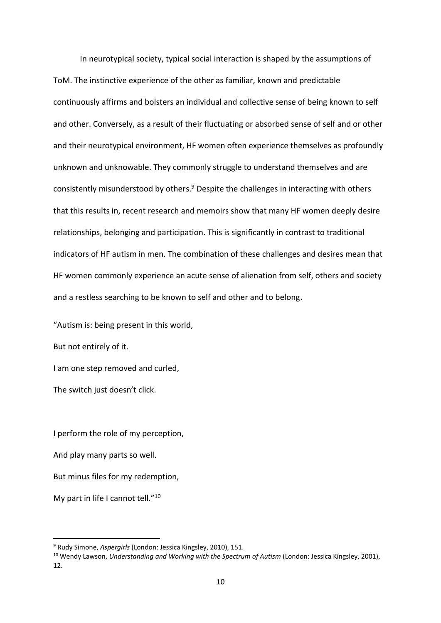In neurotypical society, typical social interaction is shaped by the assumptions of ToM. The instinctive experience of the other as familiar, known and predictable continuously affirms and bolsters an individual and collective sense of being known to self and other. Conversely, as a result of their fluctuating or absorbed sense of self and or other and their neurotypical environment, HF women often experience themselves as profoundly unknown and unknowable. They commonly struggle to understand themselves and are consistently misunderstood by others.<sup>9</sup> Despite the challenges in interacting with others that this results in, recent research and memoirs show that many HF women deeply desire relationships, belonging and participation. This is significantly in contrast to traditional indicators of HF autism in men. The combination of these challenges and desires mean that HF women commonly experience an acute sense of alienation from self, others and society and a restless searching to be known to self and other and to belong.

"Autism is: being present in this world,

But not entirely of it.

I am one step removed and curled,

The switch just doesn't click.

I perform the role of my perception,

And play many parts so well.

But minus files for my redemption,

My part in life I cannot tell."<sup>10</sup>

<sup>9</sup> Rudy Simone, *Aspergirls* (London: Jessica Kingsley, 2010), 151.

<sup>10</sup> Wendy Lawson, *Understanding and Working with the Spectrum of Autism* (London: Jessica Kingsley, 2001), 12.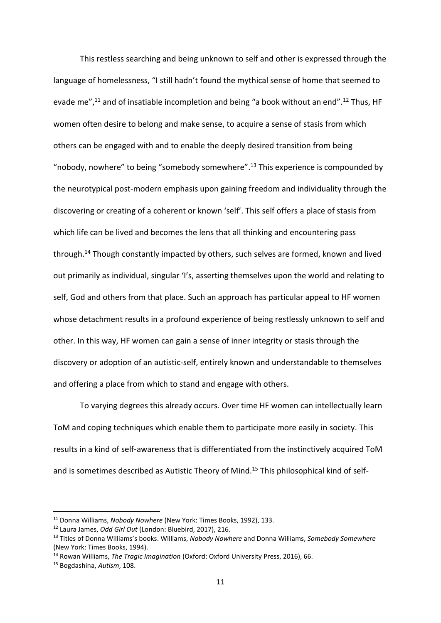This restless searching and being unknown to self and other is expressed through the language of homelessness, "I still hadn't found the mythical sense of home that seemed to evade me",<sup>11</sup> and of insatiable incompletion and being "a book without an end".<sup>12</sup> Thus, HF women often desire to belong and make sense, to acquire a sense of stasis from which others can be engaged with and to enable the deeply desired transition from being "nobody, nowhere" to being "somebody somewhere".<sup>13</sup> This experience is compounded by the neurotypical post-modern emphasis upon gaining freedom and individuality through the discovering or creating of a coherent or known 'self'. This self offers a place of stasis from which life can be lived and becomes the lens that all thinking and encountering pass through.<sup>14</sup> Though constantly impacted by others, such selves are formed, known and lived out primarily as individual, singular 'I's, asserting themselves upon the world and relating to self, God and others from that place. Such an approach has particular appeal to HF women whose detachment results in a profound experience of being restlessly unknown to self and other. In this way, HF women can gain a sense of inner integrity or stasis through the discovery or adoption of an autistic-self, entirely known and understandable to themselves and offering a place from which to stand and engage with others.

To varying degrees this already occurs. Over time HF women can intellectually learn ToM and coping techniques which enable them to participate more easily in society. This results in a kind of self-awareness that is differentiated from the instinctively acquired ToM and is sometimes described as Autistic Theory of Mind.<sup>15</sup> This philosophical kind of self-

<sup>11</sup> Donna Williams, *Nobody Nowhere* (New York: Times Books, 1992), 133.

<sup>12</sup> Laura James, *Odd Girl Out* (London: Bluebird, 2017), 216.

<sup>13</sup> Titles of Donna Williams's books. Williams, *Nobody Nowhere* and Donna Williams, *Somebody Somewhere* (New York: Times Books, 1994).

<sup>14</sup> Rowan Williams, *The Tragic Imagination* (Oxford: Oxford University Press, 2016), 66.

<sup>15</sup> Bogdashina, *Autism*, 108.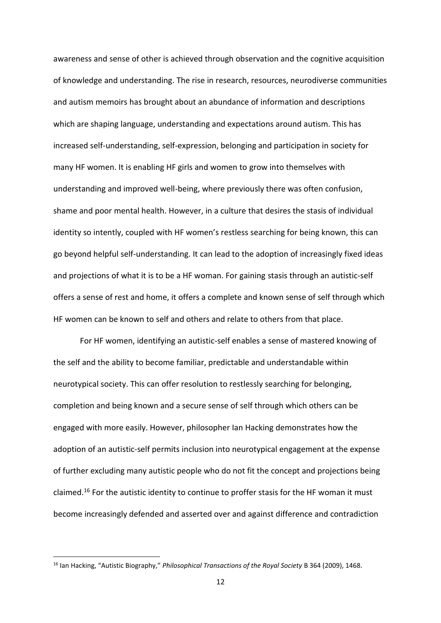awareness and sense of other is achieved through observation and the cognitive acquisition of knowledge and understanding. The rise in research, resources, neurodiverse communities and autism memoirs has brought about an abundance of information and descriptions which are shaping language, understanding and expectations around autism. This has increased self-understanding, self-expression, belonging and participation in society for many HF women. It is enabling HF girls and women to grow into themselves with understanding and improved well-being, where previously there was often confusion, shame and poor mental health. However, in a culture that desires the stasis of individual identity so intently, coupled with HF women's restless searching for being known, this can go beyond helpful self-understanding. It can lead to the adoption of increasingly fixed ideas and projections of what it is to be a HF woman. For gaining stasis through an autistic-self offers a sense of rest and home, it offers a complete and known sense of self through which HF women can be known to self and others and relate to others from that place.

For HF women, identifying an autistic-self enables a sense of mastered knowing of the self and the ability to become familiar, predictable and understandable within neurotypical society. This can offer resolution to restlessly searching for belonging, completion and being known and a secure sense of self through which others can be engaged with more easily. However, philosopher Ian Hacking demonstrates how the adoption of an autistic-self permits inclusion into neurotypical engagement at the expense of further excluding many autistic people who do not fit the concept and projections being claimed.<sup>16</sup> For the autistic identity to continue to proffer stasis for the HF woman it must become increasingly defended and asserted over and against difference and contradiction

<sup>16</sup> Ian Hacking, "Autistic Biography," *Philosophical Transactions of the Royal Society* B 364 (2009), 1468.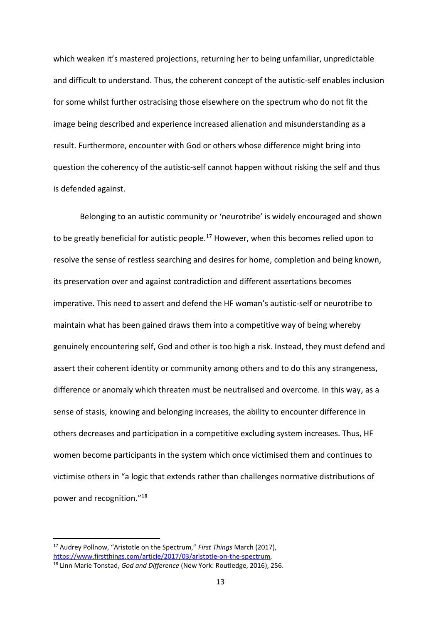which weaken it's mastered projections, returning her to being unfamiliar, unpredictable and difficult to understand. Thus, the coherent concept of the autistic-self enables inclusion for some whilst further ostracising those elsewhere on the spectrum who do not fit the image being described and experience increased alienation and misunderstanding as a result. Furthermore, encounter with God or others whose difference might bring into question the coherency of the autistic-self cannot happen without risking the self and thus is defended against.

Belonging to an autistic community or 'neurotribe' is widely encouraged and shown to be greatly beneficial for autistic people.<sup>17</sup> However, when this becomes relied upon to resolve the sense of restless searching and desires for home, completion and being known, its preservation over and against contradiction and different assertations becomes imperative. This need to assert and defend the HF woman's autistic-self or neurotribe to maintain what has been gained draws them into a competitive way of being whereby genuinely encountering self, God and other is too high a risk. Instead, they must defend and assert their coherent identity or community among others and to do this any strangeness, difference or anomaly which threaten must be neutralised and overcome. In this way, as a sense of stasis, knowing and belonging increases, the ability to encounter difference in others decreases and participation in a competitive excluding system increases. Thus, HF women become participants in the system which once victimised them and continues to victimise others in "a logic that extends rather than challenges normative distributions of power and recognition."<sup>18</sup>

<sup>17</sup> Audrey Pollnow, "Aristotle on the Spectrum," *First Things* March (2017), [https://www.firstthings.com/article/2017/03/aristotle-on-the-spectrum.](about:blank)

<sup>18</sup> Linn Marie Tonstad, *God and Difference* (New York: Routledge, 2016), 256.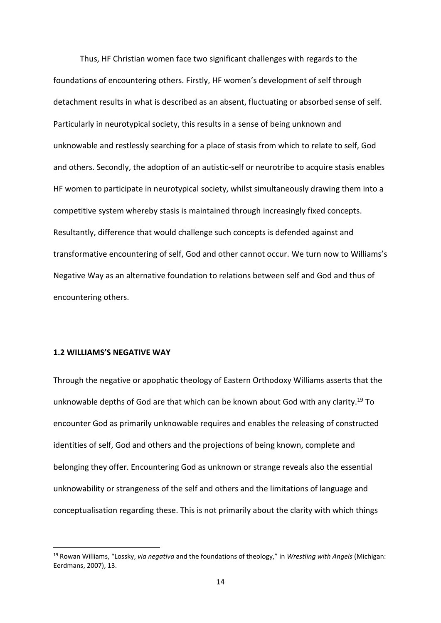Thus, HF Christian women face two significant challenges with regards to the foundations of encountering others. Firstly, HF women's development of self through detachment results in what is described as an absent, fluctuating or absorbed sense of self. Particularly in neurotypical society, this results in a sense of being unknown and unknowable and restlessly searching for a place of stasis from which to relate to self, God and others. Secondly, the adoption of an autistic-self or neurotribe to acquire stasis enables HF women to participate in neurotypical society, whilst simultaneously drawing them into a competitive system whereby stasis is maintained through increasingly fixed concepts. Resultantly, difference that would challenge such concepts is defended against and transformative encountering of self, God and other cannot occur. We turn now to Williams's Negative Way as an alternative foundation to relations between self and God and thus of encountering others.

## **1.2 WILLIAMS'S NEGATIVE WAY**

Through the negative or apophatic theology of Eastern Orthodoxy Williams asserts that the unknowable depths of God are that which can be known about God with any clarity.<sup>19</sup> To encounter God as primarily unknowable requires and enables the releasing of constructed identities of self, God and others and the projections of being known, complete and belonging they offer. Encountering God as unknown or strange reveals also the essential unknowability or strangeness of the self and others and the limitations of language and conceptualisation regarding these. This is not primarily about the clarity with which things

<sup>19</sup> Rowan Williams, "Lossky, *via negativa* and the foundations of theology," in *Wrestling with Angels* (Michigan: Eerdmans, 2007), 13.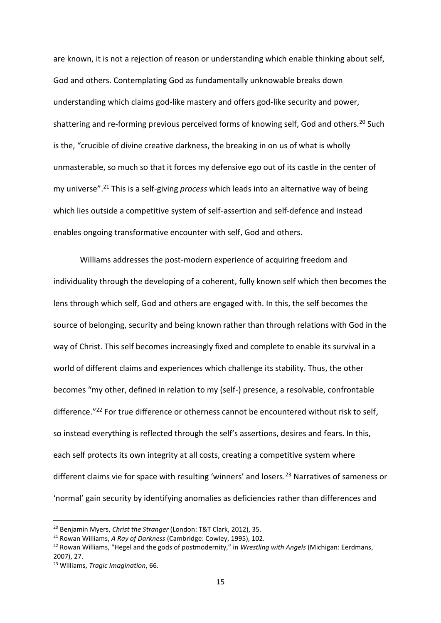are known, it is not a rejection of reason or understanding which enable thinking about self, God and others. Contemplating God as fundamentally unknowable breaks down understanding which claims god-like mastery and offers god-like security and power, shattering and re-forming previous perceived forms of knowing self, God and others.<sup>20</sup> Such is the, "crucible of divine creative darkness, the breaking in on us of what is wholly unmasterable, so much so that it forces my defensive ego out of its castle in the center of my universe".<sup>21</sup> This is a self-giving *process* which leads into an alternative way of being which lies outside a competitive system of self-assertion and self-defence and instead enables ongoing transformative encounter with self, God and others.

Williams addresses the post-modern experience of acquiring freedom and individuality through the developing of a coherent, fully known self which then becomes the lens through which self, God and others are engaged with. In this, the self becomes the source of belonging, security and being known rather than through relations with God in the way of Christ. This self becomes increasingly fixed and complete to enable its survival in a world of different claims and experiences which challenge its stability. Thus, the other becomes "my other, defined in relation to my (self-) presence, a resolvable, confrontable difference."<sup>22</sup> For true difference or otherness cannot be encountered without risk to self, so instead everything is reflected through the self's assertions, desires and fears. In this, each self protects its own integrity at all costs, creating a competitive system where different claims vie for space with resulting 'winners' and losers.<sup>23</sup> Narratives of sameness or 'normal' gain security by identifying anomalies as deficiencies rather than differences and

<sup>20</sup> Benjamin Myers, *Christ the Stranger* (London: T&T Clark, 2012), 35.

<sup>21</sup> Rowan Williams, *A Ray of Darkness* (Cambridge: Cowley, 1995), 102.

<sup>22</sup> Rowan Williams, "Hegel and the gods of postmodernity," in *Wrestling with Angels* (Michigan: Eerdmans, 2007), 27.

<sup>23</sup> Williams, *Tragic Imagination*, 66.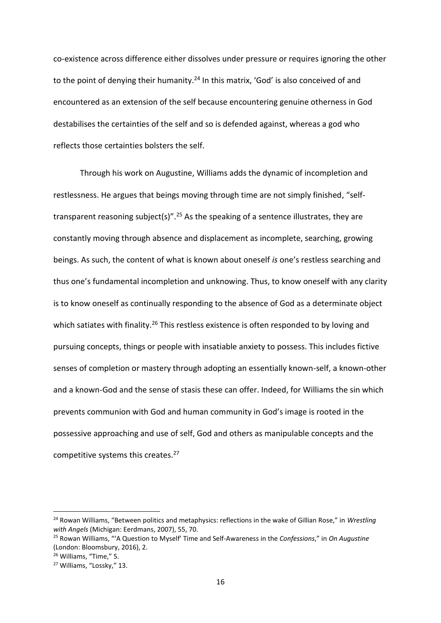co-existence across difference either dissolves under pressure or requires ignoring the other to the point of denying their humanity.<sup>24</sup> In this matrix, 'God' is also conceived of and encountered as an extension of the self because encountering genuine otherness in God destabilises the certainties of the self and so is defended against, whereas a god who reflects those certainties bolsters the self.

Through his work on Augustine, Williams adds the dynamic of incompletion and restlessness. He argues that beings moving through time are not simply finished, "selftransparent reasoning subject(s)".<sup>25</sup> As the speaking of a sentence illustrates, they are constantly moving through absence and displacement as incomplete, searching, growing beings. As such, the content of what is known about oneself *is* one's restless searching and thus one's fundamental incompletion and unknowing. Thus, to know oneself with any clarity is to know oneself as continually responding to the absence of God as a determinate object which satiates with finality.<sup>26</sup> This restless existence is often responded to by loving and pursuing concepts, things or people with insatiable anxiety to possess. This includes fictive senses of completion or mastery through adopting an essentially known-self, a known-other and a known-God and the sense of stasis these can offer. Indeed, for Williams the sin which prevents communion with God and human community in God's image is rooted in the possessive approaching and use of self, God and others as manipulable concepts and the competitive systems this creates.<sup>27</sup>

<sup>24</sup> Rowan Williams, "Between politics and metaphysics: reflections in the wake of Gillian Rose," in *Wrestling with Angels* (Michigan: Eerdmans, 2007), 55, 70.

<sup>25</sup> Rowan Williams, "'A Question to Myself' Time and Self-Awareness in the *Confessions*," in *On Augustine*  (London: Bloomsbury, 2016), 2.

<sup>26</sup> Williams, "Time," 5.

<sup>27</sup> Williams, "Lossky," 13.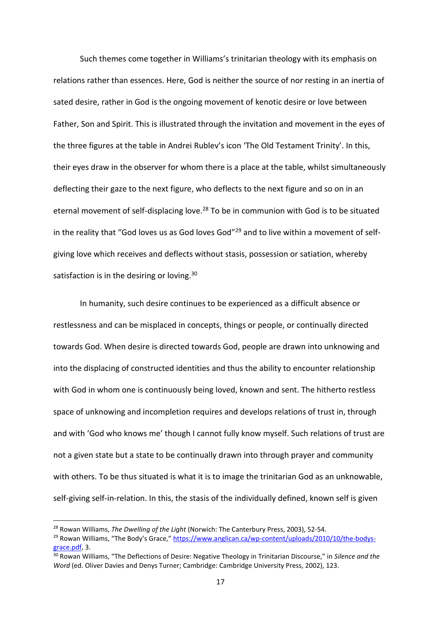Such themes come together in Williams's trinitarian theology with its emphasis on relations rather than essences. Here, God is neither the source of nor resting in an inertia of sated desire, rather in God is the ongoing movement of kenotic desire or love between Father, Son and Spirit. This is illustrated through the invitation and movement in the eyes of the three figures at the table in Andrei Rublev's icon 'The Old Testament Trinity'. In this, their eyes draw in the observer for whom there is a place at the table, whilst simultaneously deflecting their gaze to the next figure, who deflects to the next figure and so on in an eternal movement of self-displacing love.<sup>28</sup> To be in communion with God is to be situated in the reality that "God loves us as God loves God"<sup>29</sup> and to live within a movement of selfgiving love which receives and deflects without stasis, possession or satiation, whereby satisfaction is in the desiring or loving.<sup>30</sup>

In humanity, such desire continues to be experienced as a difficult absence or restlessness and can be misplaced in concepts, things or people, or continually directed towards God. When desire is directed towards God, people are drawn into unknowing and into the displacing of constructed identities and thus the ability to encounter relationship with God in whom one is continuously being loved, known and sent. The hitherto restless space of unknowing and incompletion requires and develops relations of trust in, through and with 'God who knows me' though I cannot fully know myself. Such relations of trust are not a given state but a state to be continually drawn into through prayer and community with others. To be thus situated is what it is to image the trinitarian God as an unknowable, self-giving self-in-relation. In this, the stasis of the individually defined, known self is given

<sup>28</sup> Rowan Williams, *The Dwelling of the Light* (Norwich: The Canterbury Press, 2003), 52-54.

<sup>&</sup>lt;sup>29</sup> Rowan Williams, "The Body's Grace," [https://www.anglican.ca/wp-content/uploads/2010/10/the-bodys](about:blank)[grace.pdf,](about:blank) 3.

<sup>30</sup> Rowan Williams, "The Deflections of Desire: Negative Theology in Trinitarian Discourse," in *Silence and the Word* (ed. Oliver Davies and Denys Turner; Cambridge: Cambridge University Press, 2002), 123.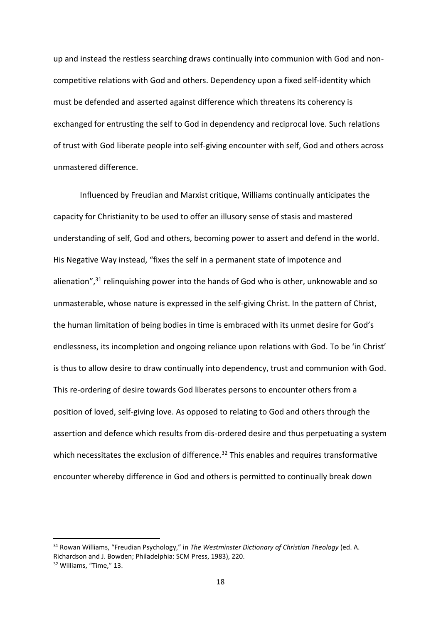up and instead the restless searching draws continually into communion with God and noncompetitive relations with God and others. Dependency upon a fixed self-identity which must be defended and asserted against difference which threatens its coherency is exchanged for entrusting the self to God in dependency and reciprocal love. Such relations of trust with God liberate people into self-giving encounter with self, God and others across unmastered difference.

Influenced by Freudian and Marxist critique, Williams continually anticipates the capacity for Christianity to be used to offer an illusory sense of stasis and mastered understanding of self, God and others, becoming power to assert and defend in the world. His Negative Way instead, "fixes the self in a permanent state of impotence and alienation",<sup>31</sup> relinguishing power into the hands of God who is other, unknowable and so unmasterable, whose nature is expressed in the self-giving Christ. In the pattern of Christ, the human limitation of being bodies in time is embraced with its unmet desire for God's endlessness, its incompletion and ongoing reliance upon relations with God. To be 'in Christ' is thus to allow desire to draw continually into dependency, trust and communion with God. This re-ordering of desire towards God liberates persons to encounter others from a position of loved, self-giving love. As opposed to relating to God and others through the assertion and defence which results from dis-ordered desire and thus perpetuating a system which necessitates the exclusion of difference.<sup>32</sup> This enables and requires transformative encounter whereby difference in God and others is permitted to continually break down

<sup>31</sup> Rowan Williams, "Freudian Psychology," in *The Westminster Dictionary of Christian Theology* (ed. A. Richardson and J. Bowden; Philadelphia: SCM Press, 1983), 220.

<sup>32</sup> Williams, "Time," 13.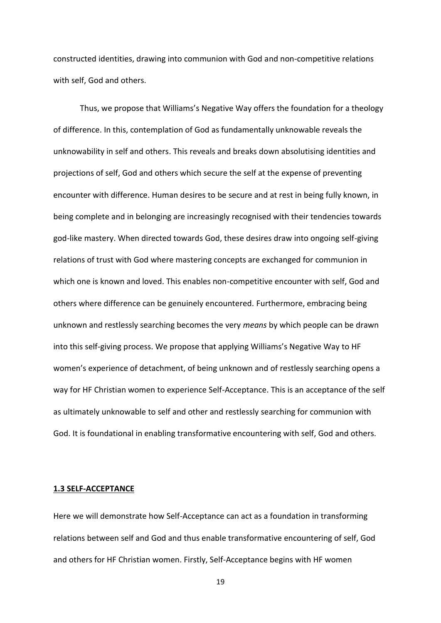constructed identities, drawing into communion with God and non-competitive relations with self, God and others.

Thus, we propose that Williams's Negative Way offers the foundation for a theology of difference. In this, contemplation of God as fundamentally unknowable reveals the unknowability in self and others. This reveals and breaks down absolutising identities and projections of self, God and others which secure the self at the expense of preventing encounter with difference. Human desires to be secure and at rest in being fully known, in being complete and in belonging are increasingly recognised with their tendencies towards god-like mastery. When directed towards God, these desires draw into ongoing self-giving relations of trust with God where mastering concepts are exchanged for communion in which one is known and loved. This enables non-competitive encounter with self, God and others where difference can be genuinely encountered. Furthermore, embracing being unknown and restlessly searching becomes the very *means* by which people can be drawn into this self-giving process. We propose that applying Williams's Negative Way to HF women's experience of detachment, of being unknown and of restlessly searching opens a way for HF Christian women to experience Self-Acceptance. This is an acceptance of the self as ultimately unknowable to self and other and restlessly searching for communion with God. It is foundational in enabling transformative encountering with self, God and others.

# **1.3 SELF-ACCEPTANCE**

Here we will demonstrate how Self-Acceptance can act as a foundation in transforming relations between self and God and thus enable transformative encountering of self, God and others for HF Christian women. Firstly, Self-Acceptance begins with HF women

19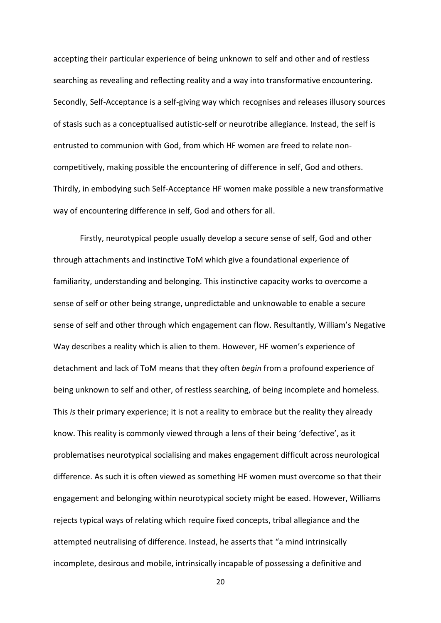accepting their particular experience of being unknown to self and other and of restless searching as revealing and reflecting reality and a way into transformative encountering. Secondly, Self-Acceptance is a self-giving way which recognises and releases illusory sources of stasis such as a conceptualised autistic-self or neurotribe allegiance. Instead, the self is entrusted to communion with God, from which HF women are freed to relate noncompetitively, making possible the encountering of difference in self, God and others. Thirdly, in embodying such Self-Acceptance HF women make possible a new transformative way of encountering difference in self, God and others for all.

Firstly, neurotypical people usually develop a secure sense of self, God and other through attachments and instinctive ToM which give a foundational experience of familiarity, understanding and belonging. This instinctive capacity works to overcome a sense of self or other being strange, unpredictable and unknowable to enable a secure sense of self and other through which engagement can flow. Resultantly, William's Negative Way describes a reality which is alien to them. However, HF women's experience of detachment and lack of ToM means that they often *begin* from a profound experience of being unknown to self and other, of restless searching, of being incomplete and homeless. This *is* their primary experience; it is not a reality to embrace but the reality they already know. This reality is commonly viewed through a lens of their being 'defective', as it problematises neurotypical socialising and makes engagement difficult across neurological difference. As such it is often viewed as something HF women must overcome so that their engagement and belonging within neurotypical society might be eased. However, Williams rejects typical ways of relating which require fixed concepts, tribal allegiance and the attempted neutralising of difference. Instead, he asserts that "a mind intrinsically incomplete, desirous and mobile, intrinsically incapable of possessing a definitive and

20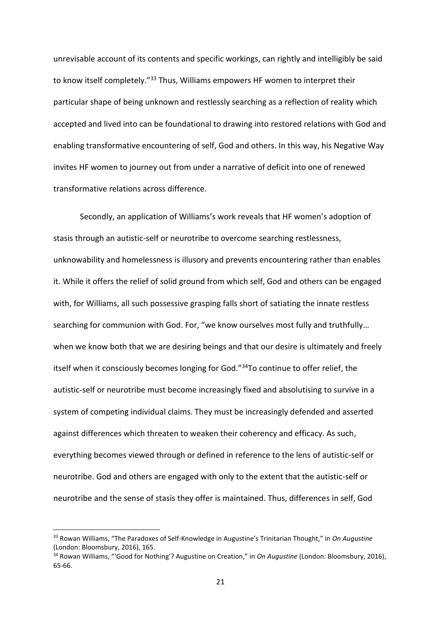unrevisable account of its contents and specific workings, can rightly and intelligibly be said to know itself completely."<sup>33</sup> Thus, Williams empowers HF women to interpret their particular shape of being unknown and restlessly searching as a reflection of reality which accepted and lived into can be foundational to drawing into restored relations with God and enabling transformative encountering of self, God and others. In this way, his Negative Way invites HF women to journey out from under a narrative of deficit into one of renewed transformative relations across difference.

Secondly, an application of Williams's work reveals that HF women's adoption of stasis through an autistic-self or neurotribe to overcome searching restlessness, unknowability and homelessness is illusory and prevents encountering rather than enables it. While it offers the relief of solid ground from which self, God and others can be engaged with, for Williams, all such possessive grasping falls short of satiating the innate restless searching for communion with God. For, "we know ourselves most fully and truthfully… when we know both that we are desiring beings and that our desire is ultimately and freely itself when it consciously becomes longing for God."<sup>34</sup>To continue to offer relief, the autistic-self or neurotribe must become increasingly fixed and absolutising to survive in a system of competing individual claims. They must be increasingly defended and asserted against differences which threaten to weaken their coherency and efficacy. As such, everything becomes viewed through or defined in reference to the lens of autistic-self or neurotribe. God and others are engaged with only to the extent that the autistic-self or neurotribe and the sense of stasis they offer is maintained. Thus, differences in self, God

<sup>33</sup> Rowan Williams, "The Paradoxes of Self-Knowledge in Augustine's Trinitarian Thought," in *On Augustine* (London: Bloomsbury, 2016), 165.

<sup>34</sup> Rowan Williams, "'Good for Nothing'? Augustine on Creation," in *On Augustine* (London: Bloomsbury, 2016), 65-66.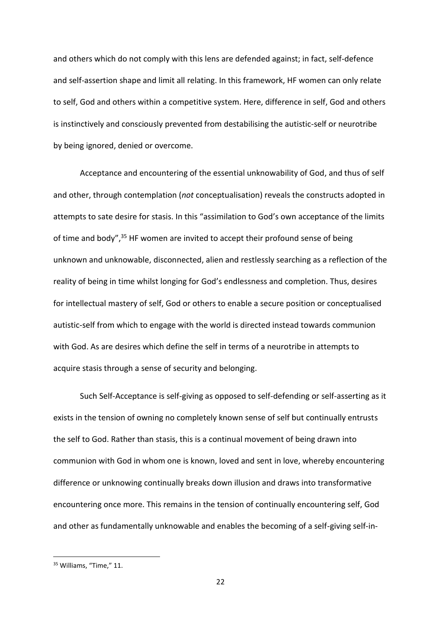and others which do not comply with this lens are defended against; in fact, self-defence and self-assertion shape and limit all relating. In this framework, HF women can only relate to self, God and others within a competitive system. Here, difference in self, God and others is instinctively and consciously prevented from destabilising the autistic-self or neurotribe by being ignored, denied or overcome.

Acceptance and encountering of the essential unknowability of God, and thus of self and other, through contemplation (*not* conceptualisation) reveals the constructs adopted in attempts to sate desire for stasis. In this "assimilation to God's own acceptance of the limits of time and body",<sup>35</sup> HF women are invited to accept their profound sense of being unknown and unknowable, disconnected, alien and restlessly searching as a reflection of the reality of being in time whilst longing for God's endlessness and completion. Thus, desires for intellectual mastery of self, God or others to enable a secure position or conceptualised autistic-self from which to engage with the world is directed instead towards communion with God. As are desires which define the self in terms of a neurotribe in attempts to acquire stasis through a sense of security and belonging.

Such Self-Acceptance is self-giving as opposed to self-defending or self-asserting as it exists in the tension of owning no completely known sense of self but continually entrusts the self to God. Rather than stasis, this is a continual movement of being drawn into communion with God in whom one is known, loved and sent in love, whereby encountering difference or unknowing continually breaks down illusion and draws into transformative encountering once more. This remains in the tension of continually encountering self, God and other as fundamentally unknowable and enables the becoming of a self-giving self-in-

<sup>&</sup>lt;sup>35</sup> Williams, "Time," 11.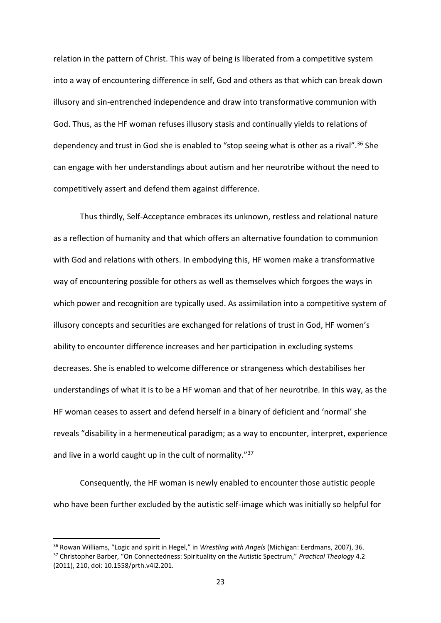relation in the pattern of Christ. This way of being is liberated from a competitive system into a way of encountering difference in self, God and others as that which can break down illusory and sin-entrenched independence and draw into transformative communion with God. Thus, as the HF woman refuses illusory stasis and continually yields to relations of dependency and trust in God she is enabled to "stop seeing what is other as a rival".<sup>36</sup> She can engage with her understandings about autism and her neurotribe without the need to competitively assert and defend them against difference.

Thus thirdly, Self-Acceptance embraces its unknown, restless and relational nature as a reflection of humanity and that which offers an alternative foundation to communion with God and relations with others. In embodying this, HF women make a transformative way of encountering possible for others as well as themselves which forgoes the ways in which power and recognition are typically used. As assimilation into a competitive system of illusory concepts and securities are exchanged for relations of trust in God, HF women's ability to encounter difference increases and her participation in excluding systems decreases. She is enabled to welcome difference or strangeness which destabilises her understandings of what it is to be a HF woman and that of her neurotribe. In this way, as the HF woman ceases to assert and defend herself in a binary of deficient and 'normal' she reveals "disability in a hermeneutical paradigm; as a way to encounter, interpret, experience and live in a world caught up in the cult of normality."<sup>37</sup>

Consequently, the HF woman is newly enabled to encounter those autistic people who have been further excluded by the autistic self-image which was initially so helpful for

<sup>36</sup> Rowan Williams, "Logic and spirit in Hegel," in *Wrestling with Angels* (Michigan: Eerdmans, 2007), 36. <sup>37</sup> Christopher Barber, "On Connectedness: Spirituality on the Autistic Spectrum," *Practical Theology* 4.2 (2011), 210, doi: 10.1558/prth.v4i2.201.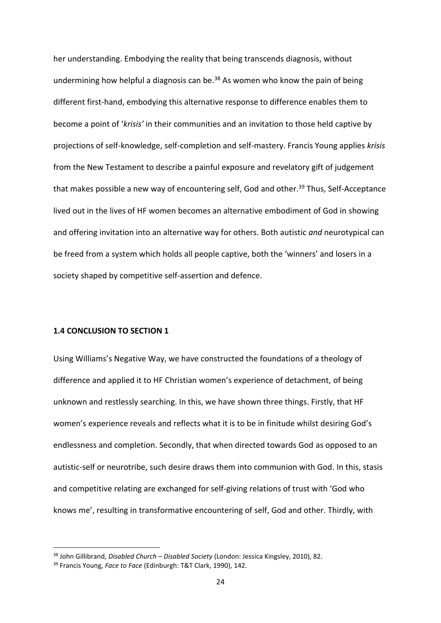her understanding. Embodying the reality that being transcends diagnosis, without undermining how helpful a diagnosis can be.<sup>38</sup> As women who know the pain of being different first-hand, embodying this alternative response to difference enables them to become a point of '*krisis'* in their communities and an invitation to those held captive by projections of self-knowledge, self-completion and self-mastery. Francis Young applies *krisis* from the New Testament to describe a painful exposure and revelatory gift of judgement that makes possible a new way of encountering self, God and other.<sup>39</sup> Thus, Self-Acceptance lived out in the lives of HF women becomes an alternative embodiment of God in showing and offering invitation into an alternative way for others. Both autistic *and* neurotypical can be freed from a system which holds all people captive, both the 'winners' and losers in a society shaped by competitive self-assertion and defence.

# **1.4 CONCLUSION TO SECTION 1**

Using Williams's Negative Way, we have constructed the foundations of a theology of difference and applied it to HF Christian women's experience of detachment, of being unknown and restlessly searching. In this, we have shown three things. Firstly, that HF women's experience reveals and reflects what it is to be in finitude whilst desiring God's endlessness and completion. Secondly, that when directed towards God as opposed to an autistic-self or neurotribe, such desire draws them into communion with God. In this, stasis and competitive relating are exchanged for self-giving relations of trust with 'God who knows me', resulting in transformative encountering of self, God and other. Thirdly, with

<sup>38</sup> John Gillibrand, *Disabled Church – Disabled Society* (London: Jessica Kingsley, 2010), 82.

<sup>39</sup> Francis Young, *Face to Face* (Edinburgh: T&T Clark, 1990), 142.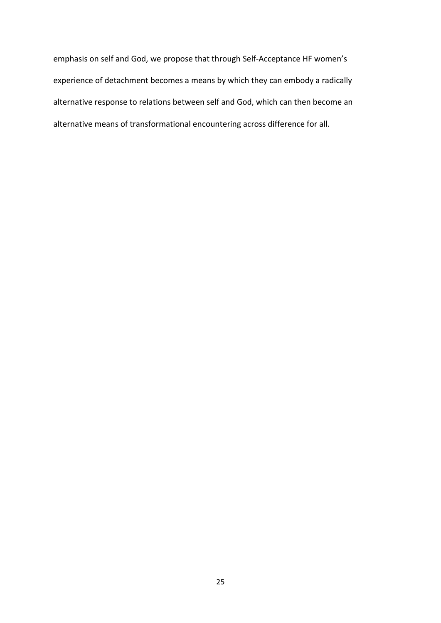emphasis on self and God, we propose that through Self-Acceptance HF women's experience of detachment becomes a means by which they can embody a radically alternative response to relations between self and God, which can then become an alternative means of transformational encountering across difference for all.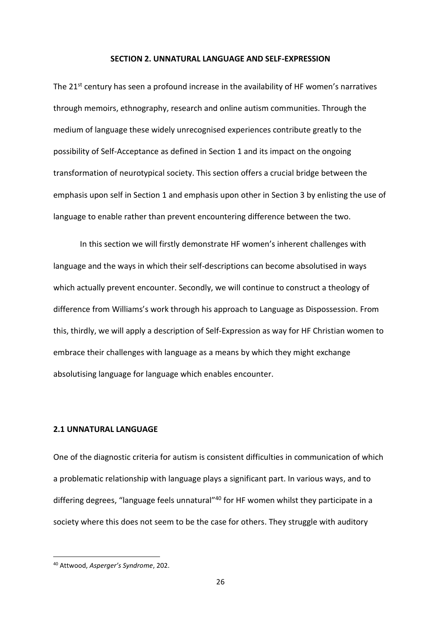#### **SECTION 2. UNNATURAL LANGUAGE AND SELF-EXPRESSION**

The 21st century has seen a profound increase in the availability of HF women's narratives through memoirs, ethnography, research and online autism communities. Through the medium of language these widely unrecognised experiences contribute greatly to the possibility of Self-Acceptance as defined in Section 1 and its impact on the ongoing transformation of neurotypical society. This section offers a crucial bridge between the emphasis upon self in Section 1 and emphasis upon other in Section 3 by enlisting the use of language to enable rather than prevent encountering difference between the two.

In this section we will firstly demonstrate HF women's inherent challenges with language and the ways in which their self-descriptions can become absolutised in ways which actually prevent encounter. Secondly, we will continue to construct a theology of difference from Williams's work through his approach to Language as Dispossession. From this, thirdly, we will apply a description of Self-Expression as way for HF Christian women to embrace their challenges with language as a means by which they might exchange absolutising language for language which enables encounter.

# **2.1 UNNATURAL LANGUAGE**

One of the diagnostic criteria for autism is consistent difficulties in communication of which a problematic relationship with language plays a significant part. In various ways, and to differing degrees, "language feels unnatural"<sup>40</sup> for HF women whilst they participate in a society where this does not seem to be the case for others. They struggle with auditory

<sup>40</sup> Attwood, *Asperger's Syndrome*, 202.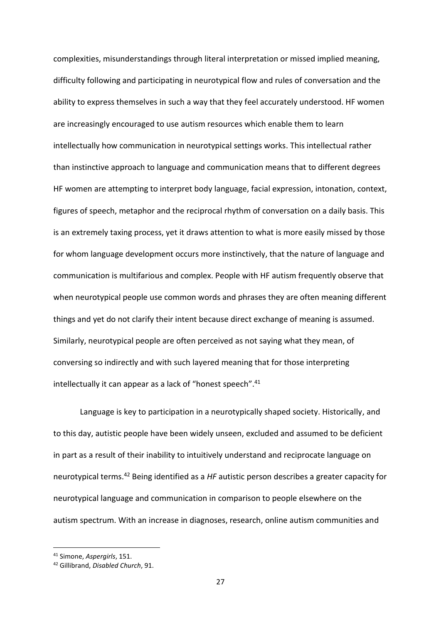complexities, misunderstandings through literal interpretation or missed implied meaning, difficulty following and participating in neurotypical flow and rules of conversation and the ability to express themselves in such a way that they feel accurately understood. HF women are increasingly encouraged to use autism resources which enable them to learn intellectually how communication in neurotypical settings works. This intellectual rather than instinctive approach to language and communication means that to different degrees HF women are attempting to interpret body language, facial expression, intonation, context, figures of speech, metaphor and the reciprocal rhythm of conversation on a daily basis. This is an extremely taxing process, yet it draws attention to what is more easily missed by those for whom language development occurs more instinctively, that the nature of language and communication is multifarious and complex. People with HF autism frequently observe that when neurotypical people use common words and phrases they are often meaning different things and yet do not clarify their intent because direct exchange of meaning is assumed. Similarly, neurotypical people are often perceived as not saying what they mean, of conversing so indirectly and with such layered meaning that for those interpreting intellectually it can appear as a lack of "honest speech".<sup>41</sup>

Language is key to participation in a neurotypically shaped society. Historically, and to this day, autistic people have been widely unseen, excluded and assumed to be deficient in part as a result of their inability to intuitively understand and reciprocate language on neurotypical terms.<sup>42</sup> Being identified as a *HF* autistic person describes a greater capacity for neurotypical language and communication in comparison to people elsewhere on the autism spectrum. With an increase in diagnoses, research, online autism communities and

<sup>41</sup> Simone, *Aspergirls*, 151.

<sup>42</sup> Gillibrand, *Disabled Church*, 91.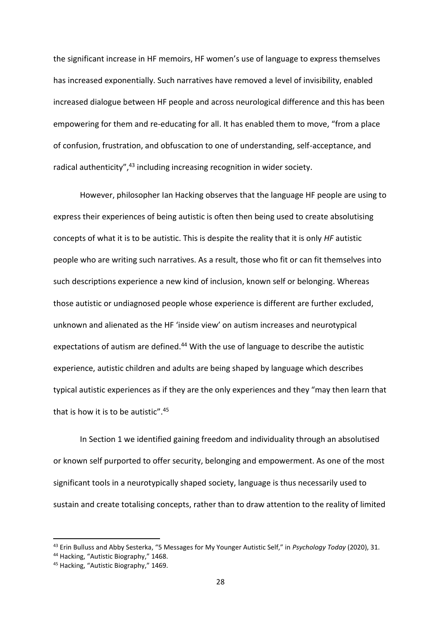the significant increase in HF memoirs, HF women's use of language to express themselves has increased exponentially. Such narratives have removed a level of invisibility, enabled increased dialogue between HF people and across neurological difference and this has been empowering for them and re-educating for all. It has enabled them to move, "from a place of confusion, frustration, and obfuscation to one of understanding, self-acceptance, and radical authenticity",<sup>43</sup> including increasing recognition in wider society.

However, philosopher Ian Hacking observes that the language HF people are using to express their experiences of being autistic is often then being used to create absolutising concepts of what it is to be autistic. This is despite the reality that it is only *HF* autistic people who are writing such narratives. As a result, those who fit or can fit themselves into such descriptions experience a new kind of inclusion, known self or belonging. Whereas those autistic or undiagnosed people whose experience is different are further excluded, unknown and alienated as the HF 'inside view' on autism increases and neurotypical expectations of autism are defined.<sup>44</sup> With the use of language to describe the autistic experience, autistic children and adults are being shaped by language which describes typical autistic experiences as if they are the only experiences and they "may then learn that that is how it is to be autistic".<sup>45</sup>

In Section 1 we identified gaining freedom and individuality through an absolutised or known self purported to offer security, belonging and empowerment. As one of the most significant tools in a neurotypically shaped society, language is thus necessarily used to sustain and create totalising concepts, rather than to draw attention to the reality of limited

<sup>43</sup> Erin Bulluss and Abby Sesterka, "5 Messages for My Younger Autistic Self," in *Psychology Today* (2020), 31.

<sup>44</sup> Hacking, "Autistic Biography," 1468.

<sup>45</sup> Hacking, "Autistic Biography," 1469.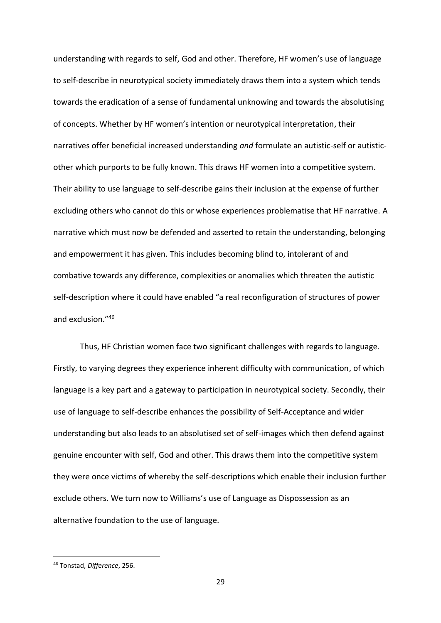understanding with regards to self, God and other. Therefore, HF women's use of language to self-describe in neurotypical society immediately draws them into a system which tends towards the eradication of a sense of fundamental unknowing and towards the absolutising of concepts. Whether by HF women's intention or neurotypical interpretation, their narratives offer beneficial increased understanding *and* formulate an autistic-self or autisticother which purports to be fully known. This draws HF women into a competitive system. Their ability to use language to self-describe gains their inclusion at the expense of further excluding others who cannot do this or whose experiences problematise that HF narrative. A narrative which must now be defended and asserted to retain the understanding, belonging and empowerment it has given. This includes becoming blind to, intolerant of and combative towards any difference, complexities or anomalies which threaten the autistic self-description where it could have enabled "a real reconfiguration of structures of power and exclusion."<sup>46</sup>

Thus, HF Christian women face two significant challenges with regards to language. Firstly, to varying degrees they experience inherent difficulty with communication, of which language is a key part and a gateway to participation in neurotypical society. Secondly, their use of language to self-describe enhances the possibility of Self-Acceptance and wider understanding but also leads to an absolutised set of self-images which then defend against genuine encounter with self, God and other. This draws them into the competitive system they were once victims of whereby the self-descriptions which enable their inclusion further exclude others. We turn now to Williams's use of Language as Dispossession as an alternative foundation to the use of language.

<sup>46</sup> Tonstad, *Difference*, 256.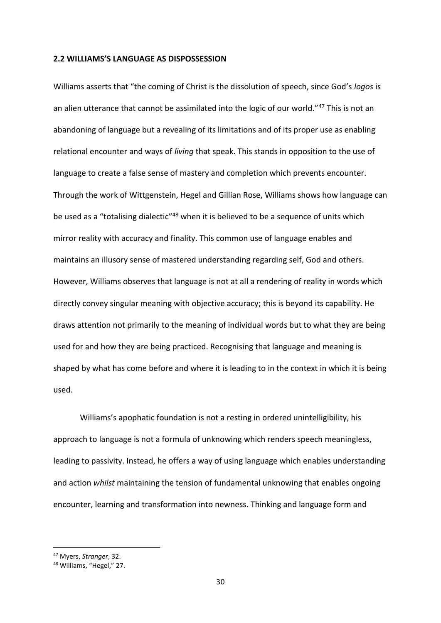#### **2.2 WILLIAMS'S LANGUAGE AS DISPOSSESSION**

Williams asserts that "the coming of Christ is the dissolution of speech, since God's *logos* is an alien utterance that cannot be assimilated into the logic of our world."<sup>47</sup> This is not an abandoning of language but a revealing of its limitations and of its proper use as enabling relational encounter and ways of *living* that speak. This stands in opposition to the use of language to create a false sense of mastery and completion which prevents encounter. Through the work of Wittgenstein, Hegel and Gillian Rose, Williams shows how language can be used as a "totalising dialectic"<sup>48</sup> when it is believed to be a sequence of units which mirror reality with accuracy and finality. This common use of language enables and maintains an illusory sense of mastered understanding regarding self, God and others. However, Williams observes that language is not at all a rendering of reality in words which directly convey singular meaning with objective accuracy; this is beyond its capability. He draws attention not primarily to the meaning of individual words but to what they are being used for and how they are being practiced. Recognising that language and meaning is shaped by what has come before and where it is leading to in the context in which it is being used.

Williams's apophatic foundation is not a resting in ordered unintelligibility, his approach to language is not a formula of unknowing which renders speech meaningless, leading to passivity. Instead, he offers a way of using language which enables understanding and action *whilst* maintaining the tension of fundamental unknowing that enables ongoing encounter, learning and transformation into newness. Thinking and language form and

<sup>47</sup> Myers, *Stranger*, 32.

<sup>48</sup> Williams, "Hegel," 27.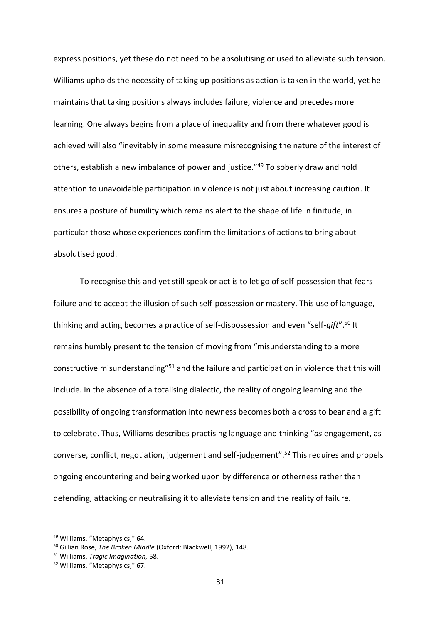express positions, yet these do not need to be absolutising or used to alleviate such tension. Williams upholds the necessity of taking up positions as action is taken in the world, yet he maintains that taking positions always includes failure, violence and precedes more learning. One always begins from a place of inequality and from there whatever good is achieved will also "inevitably in some measure misrecognising the nature of the interest of others, establish a new imbalance of power and justice."<sup>49</sup> To soberly draw and hold attention to unavoidable participation in violence is not just about increasing caution. It ensures a posture of humility which remains alert to the shape of life in finitude, in particular those whose experiences confirm the limitations of actions to bring about absolutised good.

To recognise this and yet still speak or act is to let go of self-possession that fears failure and to accept the illusion of such self-possession or mastery. This use of language, thinking and acting becomes a practice of self-dispossession and even "self-*gift*". <sup>50</sup> It remains humbly present to the tension of moving from "misunderstanding to a more constructive misunderstanding"<sup>51</sup> and the failure and participation in violence that this will include. In the absence of a totalising dialectic, the reality of ongoing learning and the possibility of ongoing transformation into newness becomes both a cross to bear and a gift to celebrate. Thus, Williams describes practising language and thinking "*as* engagement, as converse, conflict, negotiation, judgement and self-judgement".<sup>52</sup> This requires and propels ongoing encountering and being worked upon by difference or otherness rather than defending, attacking or neutralising it to alleviate tension and the reality of failure.

<sup>49</sup> Williams, "Metaphysics," 64.

<sup>50</sup> Gillian Rose, *The Broken Middle* (Oxford: Blackwell, 1992), 148.

<sup>51</sup> Williams, *Tragic Imagination,* 58.

<sup>52</sup> Williams, "Metaphysics," 67.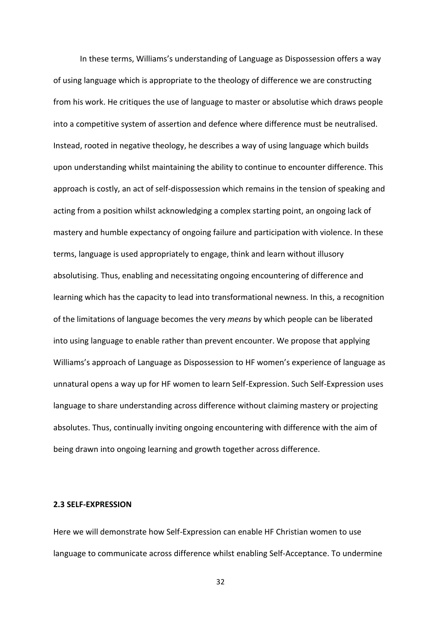In these terms, Williams's understanding of Language as Dispossession offers a way of using language which is appropriate to the theology of difference we are constructing from his work. He critiques the use of language to master or absolutise which draws people into a competitive system of assertion and defence where difference must be neutralised. Instead, rooted in negative theology, he describes a way of using language which builds upon understanding whilst maintaining the ability to continue to encounter difference. This approach is costly, an act of self-dispossession which remains in the tension of speaking and acting from a position whilst acknowledging a complex starting point, an ongoing lack of mastery and humble expectancy of ongoing failure and participation with violence. In these terms, language is used appropriately to engage, think and learn without illusory absolutising. Thus, enabling and necessitating ongoing encountering of difference and learning which has the capacity to lead into transformational newness. In this, a recognition of the limitations of language becomes the very *means* by which people can be liberated into using language to enable rather than prevent encounter. We propose that applying Williams's approach of Language as Dispossession to HF women's experience of language as unnatural opens a way up for HF women to learn Self-Expression. Such Self-Expression uses language to share understanding across difference without claiming mastery or projecting absolutes. Thus, continually inviting ongoing encountering with difference with the aim of being drawn into ongoing learning and growth together across difference.

#### **2.3 SELF-EXPRESSION**

Here we will demonstrate how Self-Expression can enable HF Christian women to use language to communicate across difference whilst enabling Self-Acceptance. To undermine

32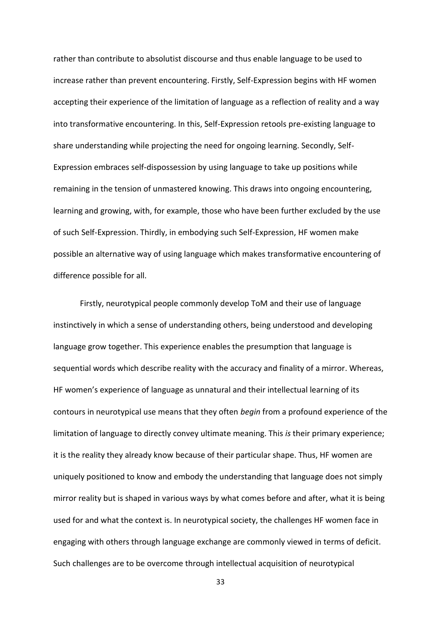rather than contribute to absolutist discourse and thus enable language to be used to increase rather than prevent encountering. Firstly, Self-Expression begins with HF women accepting their experience of the limitation of language as a reflection of reality and a way into transformative encountering. In this, Self-Expression retools pre-existing language to share understanding while projecting the need for ongoing learning. Secondly, Self-Expression embraces self-dispossession by using language to take up positions while remaining in the tension of unmastered knowing. This draws into ongoing encountering, learning and growing, with, for example, those who have been further excluded by the use of such Self-Expression. Thirdly, in embodying such Self-Expression, HF women make possible an alternative way of using language which makes transformative encountering of difference possible for all.

Firstly, neurotypical people commonly develop ToM and their use of language instinctively in which a sense of understanding others, being understood and developing language grow together. This experience enables the presumption that language is sequential words which describe reality with the accuracy and finality of a mirror. Whereas, HF women's experience of language as unnatural and their intellectual learning of its contours in neurotypical use means that they often *begin* from a profound experience of the limitation of language to directly convey ultimate meaning. This *is* their primary experience; it is the reality they already know because of their particular shape. Thus, HF women are uniquely positioned to know and embody the understanding that language does not simply mirror reality but is shaped in various ways by what comes before and after, what it is being used for and what the context is. In neurotypical society, the challenges HF women face in engaging with others through language exchange are commonly viewed in terms of deficit. Such challenges are to be overcome through intellectual acquisition of neurotypical

33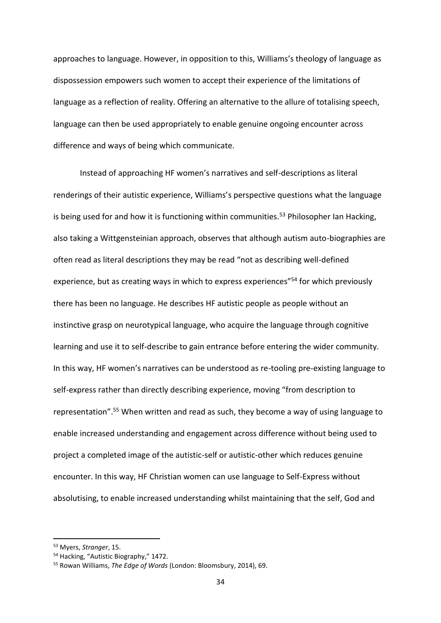approaches to language. However, in opposition to this, Williams's theology of language as dispossession empowers such women to accept their experience of the limitations of language as a reflection of reality. Offering an alternative to the allure of totalising speech, language can then be used appropriately to enable genuine ongoing encounter across difference and ways of being which communicate.

Instead of approaching HF women's narratives and self-descriptions as literal renderings of their autistic experience, Williams's perspective questions what the language is being used for and how it is functioning within communities.<sup>53</sup> Philosopher Ian Hacking, also taking a Wittgensteinian approach, observes that although autism auto-biographies are often read as literal descriptions they may be read "not as describing well-defined experience, but as creating ways in which to express experiences<sup>"54</sup> for which previously there has been no language. He describes HF autistic people as people without an instinctive grasp on neurotypical language, who acquire the language through cognitive learning and use it to self-describe to gain entrance before entering the wider community. In this way, HF women's narratives can be understood as re-tooling pre-existing language to self-express rather than directly describing experience, moving "from description to representation".<sup>55</sup> When written and read as such, they become a way of using language to enable increased understanding and engagement across difference without being used to project a completed image of the autistic-self or autistic-other which reduces genuine encounter. In this way, HF Christian women can use language to Self-Express without absolutising, to enable increased understanding whilst maintaining that the self, God and

<sup>53</sup> Myers, *Stranger*, 15.

<sup>&</sup>lt;sup>54</sup> Hacking, "Autistic Biography," 1472.

<sup>55</sup> Rowan Williams, *The Edge of Words* (London: Bloomsbury, 2014), 69.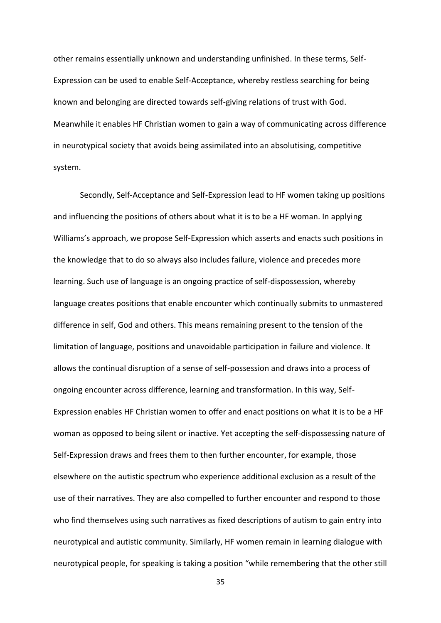other remains essentially unknown and understanding unfinished. In these terms, Self-Expression can be used to enable Self-Acceptance, whereby restless searching for being known and belonging are directed towards self-giving relations of trust with God. Meanwhile it enables HF Christian women to gain a way of communicating across difference in neurotypical society that avoids being assimilated into an absolutising, competitive system.

Secondly, Self-Acceptance and Self-Expression lead to HF women taking up positions and influencing the positions of others about what it is to be a HF woman. In applying Williams's approach, we propose Self-Expression which asserts and enacts such positions in the knowledge that to do so always also includes failure, violence and precedes more learning. Such use of language is an ongoing practice of self-dispossession, whereby language creates positions that enable encounter which continually submits to unmastered difference in self, God and others. This means remaining present to the tension of the limitation of language, positions and unavoidable participation in failure and violence. It allows the continual disruption of a sense of self-possession and draws into a process of ongoing encounter across difference, learning and transformation. In this way, Self-Expression enables HF Christian women to offer and enact positions on what it is to be a HF woman as opposed to being silent or inactive. Yet accepting the self-dispossessing nature of Self-Expression draws and frees them to then further encounter, for example, those elsewhere on the autistic spectrum who experience additional exclusion as a result of the use of their narratives. They are also compelled to further encounter and respond to those who find themselves using such narratives as fixed descriptions of autism to gain entry into neurotypical and autistic community. Similarly, HF women remain in learning dialogue with neurotypical people, for speaking is taking a position "while remembering that the other still

35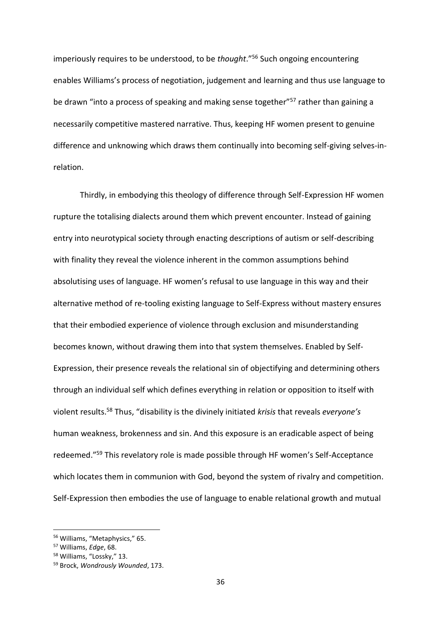imperiously requires to be understood, to be *thought*."<sup>56</sup> Such ongoing encountering enables Williams's process of negotiation, judgement and learning and thus use language to be drawn "into a process of speaking and making sense together"<sup>57</sup> rather than gaining a necessarily competitive mastered narrative. Thus, keeping HF women present to genuine difference and unknowing which draws them continually into becoming self-giving selves-inrelation.

Thirdly, in embodying this theology of difference through Self-Expression HF women rupture the totalising dialects around them which prevent encounter. Instead of gaining entry into neurotypical society through enacting descriptions of autism or self-describing with finality they reveal the violence inherent in the common assumptions behind absolutising uses of language. HF women's refusal to use language in this way and their alternative method of re-tooling existing language to Self-Express without mastery ensures that their embodied experience of violence through exclusion and misunderstanding becomes known, without drawing them into that system themselves. Enabled by Self-Expression, their presence reveals the relational sin of objectifying and determining others through an individual self which defines everything in relation or opposition to itself with violent results.<sup>58</sup> Thus, "disability is the divinely initiated *krisis* that reveals *everyone's* human weakness, brokenness and sin. And this exposure is an eradicable aspect of being redeemed."<sup>59</sup> This revelatory role is made possible through HF women's Self-Acceptance which locates them in communion with God, beyond the system of rivalry and competition. Self-Expression then embodies the use of language to enable relational growth and mutual

<sup>56</sup> Williams, "Metaphysics," 65.

<sup>57</sup> Williams, *Edge*, 68.

<sup>58</sup> Williams, "Lossky," 13.

<sup>59</sup> Brock, *Wondrously Wounded*, 173.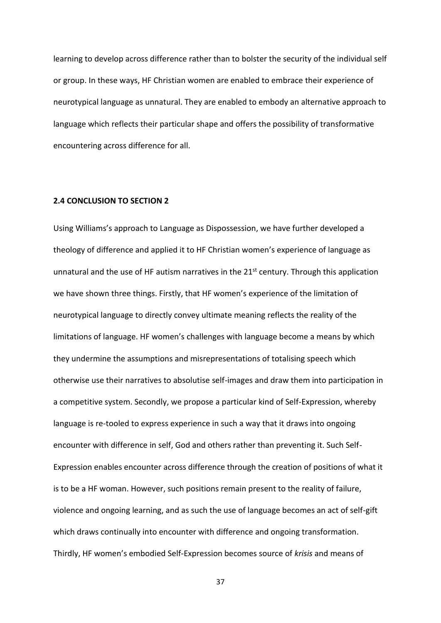learning to develop across difference rather than to bolster the security of the individual self or group. In these ways, HF Christian women are enabled to embrace their experience of neurotypical language as unnatural. They are enabled to embody an alternative approach to language which reflects their particular shape and offers the possibility of transformative encountering across difference for all.

# **2.4 CONCLUSION TO SECTION 2**

Using Williams's approach to Language as Dispossession, we have further developed a theology of difference and applied it to HF Christian women's experience of language as unnatural and the use of HF autism narratives in the  $21<sup>st</sup>$  century. Through this application we have shown three things. Firstly, that HF women's experience of the limitation of neurotypical language to directly convey ultimate meaning reflects the reality of the limitations of language. HF women's challenges with language become a means by which they undermine the assumptions and misrepresentations of totalising speech which otherwise use their narratives to absolutise self-images and draw them into participation in a competitive system. Secondly, we propose a particular kind of Self-Expression, whereby language is re-tooled to express experience in such a way that it draws into ongoing encounter with difference in self, God and others rather than preventing it. Such Self-Expression enables encounter across difference through the creation of positions of what it is to be a HF woman. However, such positions remain present to the reality of failure, violence and ongoing learning, and as such the use of language becomes an act of self-gift which draws continually into encounter with difference and ongoing transformation. Thirdly, HF women's embodied Self-Expression becomes source of *krisis* and means of

37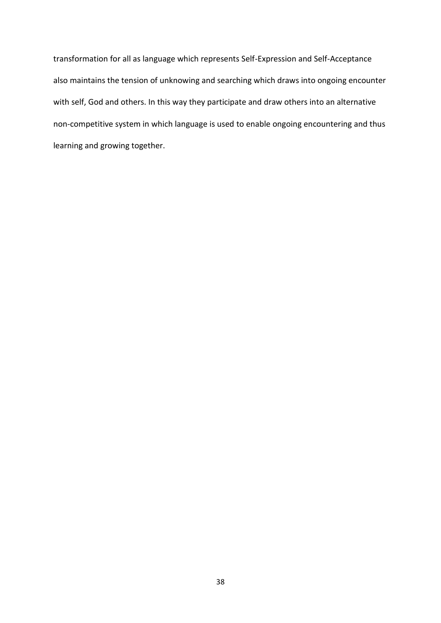transformation for all as language which represents Self-Expression and Self-Acceptance also maintains the tension of unknowing and searching which draws into ongoing encounter with self, God and others. In this way they participate and draw others into an alternative non-competitive system in which language is used to enable ongoing encountering and thus learning and growing together.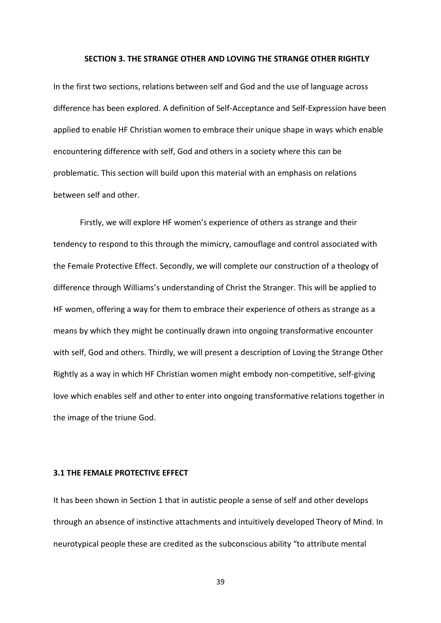#### **SECTION 3. THE STRANGE OTHER AND LOVING THE STRANGE OTHER RIGHTLY**

In the first two sections, relations between self and God and the use of language across difference has been explored. A definition of Self-Acceptance and Self-Expression have been applied to enable HF Christian women to embrace their unique shape in ways which enable encountering difference with self, God and others in a society where this can be problematic. This section will build upon this material with an emphasis on relations between self and other.

Firstly, we will explore HF women's experience of others as strange and their tendency to respond to this through the mimicry, camouflage and control associated with the Female Protective Effect. Secondly, we will complete our construction of a theology of difference through Williams's understanding of Christ the Stranger. This will be applied to HF women, offering a way for them to embrace their experience of others as strange as a means by which they might be continually drawn into ongoing transformative encounter with self, God and others. Thirdly, we will present a description of Loving the Strange Other Rightly as a way in which HF Christian women might embody non-competitive, self-giving love which enables self and other to enter into ongoing transformative relations together in the image of the triune God.

#### **3.1 THE FEMALE PROTECTIVE EFFECT**

It has been shown in Section 1 that in autistic people a sense of self and other develops through an absence of instinctive attachments and intuitively developed Theory of Mind. In neurotypical people these are credited as the subconscious ability "to attribute mental

39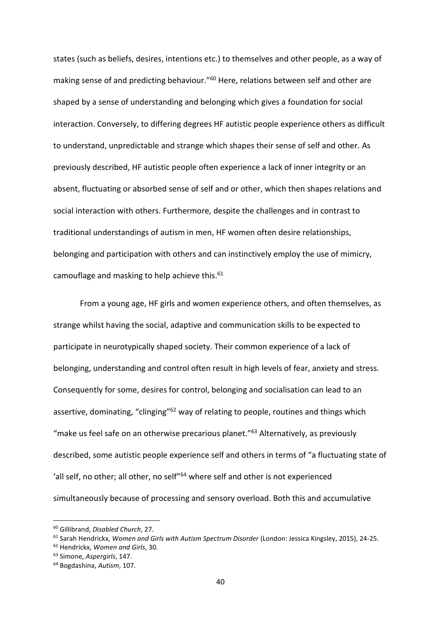states (such as beliefs, desires, intentions etc.) to themselves and other people, as a way of making sense of and predicting behaviour."<sup>60</sup> Here, relations between self and other are shaped by a sense of understanding and belonging which gives a foundation for social interaction. Conversely, to differing degrees HF autistic people experience others as difficult to understand, unpredictable and strange which shapes their sense of self and other. As previously described, HF autistic people often experience a lack of inner integrity or an absent, fluctuating or absorbed sense of self and or other, which then shapes relations and social interaction with others. Furthermore, despite the challenges and in contrast to traditional understandings of autism in men, HF women often desire relationships, belonging and participation with others and can instinctively employ the use of mimicry, camouflage and masking to help achieve this. 61

From a young age, HF girls and women experience others, and often themselves, as strange whilst having the social, adaptive and communication skills to be expected to participate in neurotypically shaped society. Their common experience of a lack of belonging, understanding and control often result in high levels of fear, anxiety and stress. Consequently for some, desires for control, belonging and socialisation can lead to an assertive, dominating, "clinging"<sup>62</sup> way of relating to people, routines and things which "make us feel safe on an otherwise precarious planet."<sup>63</sup> Alternatively, as previously described, some autistic people experience self and others in terms of "a fluctuating state of 'all self, no other; all other, no self"<sup>64</sup> where self and other is not experienced simultaneously because of processing and sensory overload. Both this and accumulative

<sup>60</sup> Gillibrand, *Disabled Church*, 27.

<sup>61</sup> Sarah Hendrickx, *Women and Girls with Autism Spectrum Disorder* (London: Jessica Kingsley, 2015), 24-25.

<sup>62</sup> Hendrickx, *Women and Girls*, 30.

<sup>63</sup> Simone, *Aspergirls*, 147.

<sup>64</sup> Bogdashina, *Autism*, 107.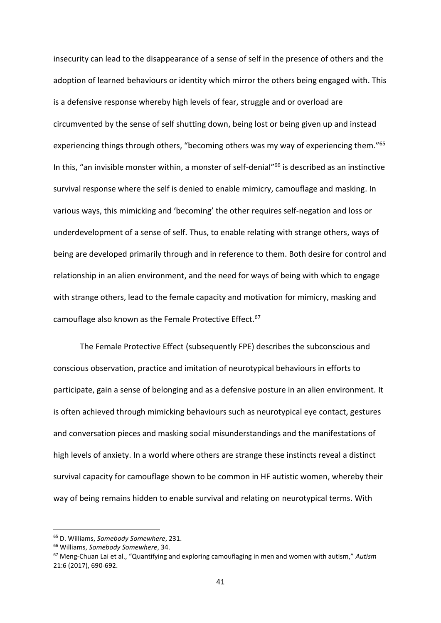insecurity can lead to the disappearance of a sense of self in the presence of others and the adoption of learned behaviours or identity which mirror the others being engaged with. This is a defensive response whereby high levels of fear, struggle and or overload are circumvented by the sense of self shutting down, being lost or being given up and instead experiencing things through others, "becoming others was my way of experiencing them."<sup>65</sup> In this, "an invisible monster within, a monster of self-denial"<sup>66</sup> is described as an instinctive survival response where the self is denied to enable mimicry, camouflage and masking. In various ways, this mimicking and 'becoming' the other requires self-negation and loss or underdevelopment of a sense of self. Thus, to enable relating with strange others, ways of being are developed primarily through and in reference to them. Both desire for control and relationship in an alien environment, and the need for ways of being with which to engage with strange others, lead to the female capacity and motivation for mimicry, masking and camouflage also known as the Female Protective Effect.<sup>67</sup>

The Female Protective Effect (subsequently FPE) describes the subconscious and conscious observation, practice and imitation of neurotypical behaviours in efforts to participate, gain a sense of belonging and as a defensive posture in an alien environment. It is often achieved through mimicking behaviours such as neurotypical eye contact, gestures and conversation pieces and masking social misunderstandings and the manifestations of high levels of anxiety. In a world where others are strange these instincts reveal a distinct survival capacity for camouflage shown to be common in HF autistic women, whereby their way of being remains hidden to enable survival and relating on neurotypical terms. With

<sup>65</sup> D. Williams, *Somebody Somewhere*, 231.

<sup>66</sup> Williams, *Somebody Somewhere*, 34.

<sup>67</sup> Meng-Chuan Lai et al., "Quantifying and exploring camouflaging in men and women with autism," *Autism* 21:6 (2017), 690-692.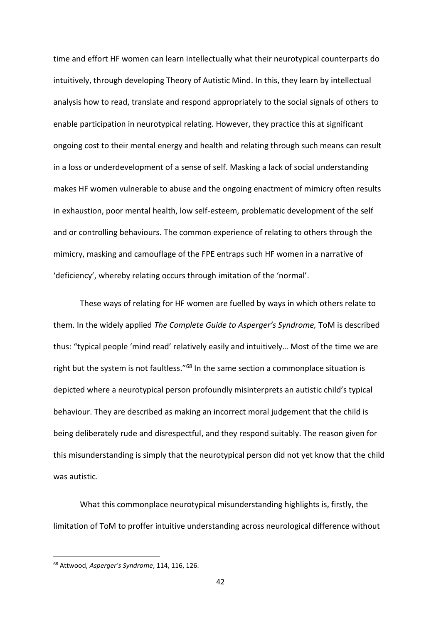time and effort HF women can learn intellectually what their neurotypical counterparts do intuitively, through developing Theory of Autistic Mind. In this, they learn by intellectual analysis how to read, translate and respond appropriately to the social signals of others to enable participation in neurotypical relating. However, they practice this at significant ongoing cost to their mental energy and health and relating through such means can result in a loss or underdevelopment of a sense of self. Masking a lack of social understanding makes HF women vulnerable to abuse and the ongoing enactment of mimicry often results in exhaustion, poor mental health, low self-esteem, problematic development of the self and or controlling behaviours. The common experience of relating to others through the mimicry, masking and camouflage of the FPE entraps such HF women in a narrative of 'deficiency', whereby relating occurs through imitation of the 'normal'.

These ways of relating for HF women are fuelled by ways in which others relate to them. In the widely applied *The Complete Guide to Asperger's Syndrome,* ToM is described thus: "typical people 'mind read' relatively easily and intuitively… Most of the time we are right but the system is not faultless."<sup>68</sup> In the same section a commonplace situation is depicted where a neurotypical person profoundly misinterprets an autistic child's typical behaviour. They are described as making an incorrect moral judgement that the child is being deliberately rude and disrespectful, and they respond suitably. The reason given for this misunderstanding is simply that the neurotypical person did not yet know that the child was autistic.

What this commonplace neurotypical misunderstanding highlights is, firstly, the limitation of ToM to proffer intuitive understanding across neurological difference without

<sup>68</sup> Attwood, *Asperger's Syndrome*, 114, 116, 126.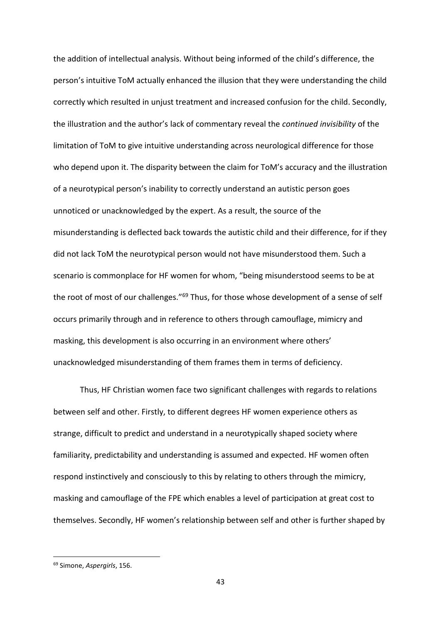the addition of intellectual analysis. Without being informed of the child's difference, the person's intuitive ToM actually enhanced the illusion that they were understanding the child correctly which resulted in unjust treatment and increased confusion for the child. Secondly, the illustration and the author's lack of commentary reveal the *continued invisibility* of the limitation of ToM to give intuitive understanding across neurological difference for those who depend upon it. The disparity between the claim for ToM's accuracy and the illustration of a neurotypical person's inability to correctly understand an autistic person goes unnoticed or unacknowledged by the expert. As a result, the source of the misunderstanding is deflected back towards the autistic child and their difference, for if they did not lack ToM the neurotypical person would not have misunderstood them. Such a scenario is commonplace for HF women for whom, "being misunderstood seems to be at the root of most of our challenges."<sup>69</sup> Thus, for those whose development of a sense of self occurs primarily through and in reference to others through camouflage, mimicry and masking, this development is also occurring in an environment where others' unacknowledged misunderstanding of them frames them in terms of deficiency.

Thus, HF Christian women face two significant challenges with regards to relations between self and other. Firstly, to different degrees HF women experience others as strange, difficult to predict and understand in a neurotypically shaped society where familiarity, predictability and understanding is assumed and expected. HF women often respond instinctively and consciously to this by relating to others through the mimicry, masking and camouflage of the FPE which enables a level of participation at great cost to themselves. Secondly, HF women's relationship between self and other is further shaped by

<sup>69</sup> Simone, *Aspergirls*, 156.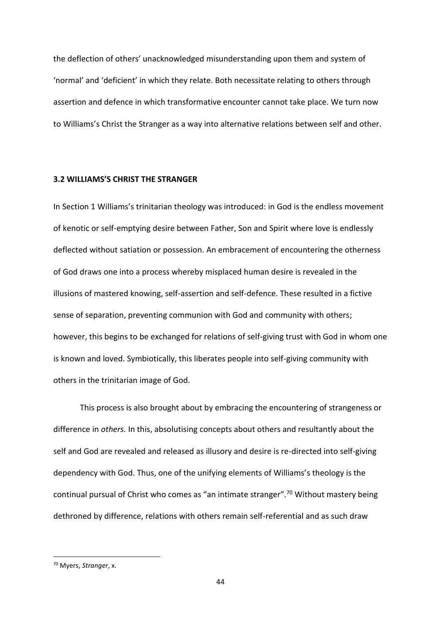the deflection of others' unacknowledged misunderstanding upon them and system of 'normal' and 'deficient' in which they relate. Both necessitate relating to others through assertion and defence in which transformative encounter cannot take place. We turn now to Williams's Christ the Stranger as a way into alternative relations between self and other.

# **3.2 WILLIAMS'S CHRIST THE STRANGER**

In Section 1 Williams's trinitarian theology was introduced: in God is the endless movement of kenotic or self-emptying desire between Father, Son and Spirit where love is endlessly deflected without satiation or possession. An embracement of encountering the otherness of God draws one into a process whereby misplaced human desire is revealed in the illusions of mastered knowing, self-assertion and self-defence. These resulted in a fictive sense of separation, preventing communion with God and community with others; however, this begins to be exchanged for relations of self-giving trust with God in whom one is known and loved. Symbiotically, this liberates people into self-giving community with others in the trinitarian image of God.

This process is also brought about by embracing the encountering of strangeness or difference in *others.* In this, absolutising concepts about others and resultantly about the self and God are revealed and released as illusory and desire is re-directed into self-giving dependency with God. Thus, one of the unifying elements of Williams's theology is the continual pursual of Christ who comes as "an intimate stranger".<sup>70</sup> Without mastery being dethroned by difference, relations with others remain self-referential and as such draw

<sup>70</sup> Myers, *Stranger*, x.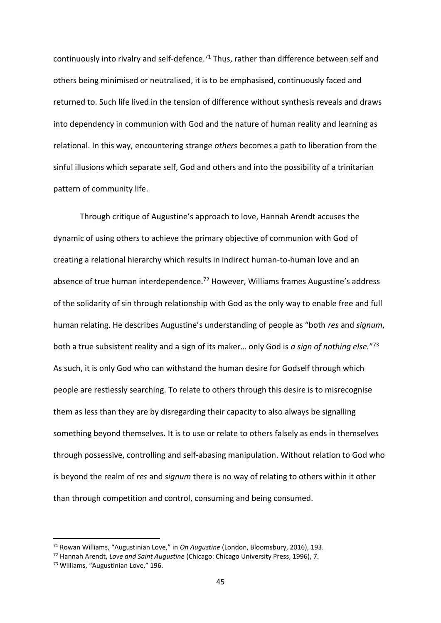continuously into rivalry and self-defence.<sup>71</sup> Thus, rather than difference between self and others being minimised or neutralised, it is to be emphasised, continuously faced and returned to. Such life lived in the tension of difference without synthesis reveals and draws into dependency in communion with God and the nature of human reality and learning as relational. In this way, encountering strange *others* becomes a path to liberation from the sinful illusions which separate self, God and others and into the possibility of a trinitarian pattern of community life.

Through critique of Augustine's approach to love, Hannah Arendt accuses the dynamic of using others to achieve the primary objective of communion with God of creating a relational hierarchy which results in indirect human-to-human love and an absence of true human interdependence.<sup>72</sup> However, Williams frames Augustine's address of the solidarity of sin through relationship with God as the only way to enable free and full human relating. He describes Augustine's understanding of people as "both *res* and *signum*, both a true subsistent reality and a sign of its maker… only God is *a sign of nothing else.*" 73 As such, it is only God who can withstand the human desire for Godself through which people are restlessly searching. To relate to others through this desire is to misrecognise them as less than they are by disregarding their capacity to also always be signalling something beyond themselves. It is to use or relate to others falsely as ends in themselves through possessive, controlling and self-abasing manipulation. Without relation to God who is beyond the realm of *res* and *signum* there is no way of relating to others within it other than through competition and control, consuming and being consumed.

<sup>71</sup> Rowan Williams, "Augustinian Love," in *On Augustine* (London, Bloomsbury, 2016), 193.

<sup>72</sup> Hannah Arendt, *Love and Saint Augustine* (Chicago: Chicago University Press, 1996), 7.

<sup>73</sup> Williams, "Augustinian Love," 196.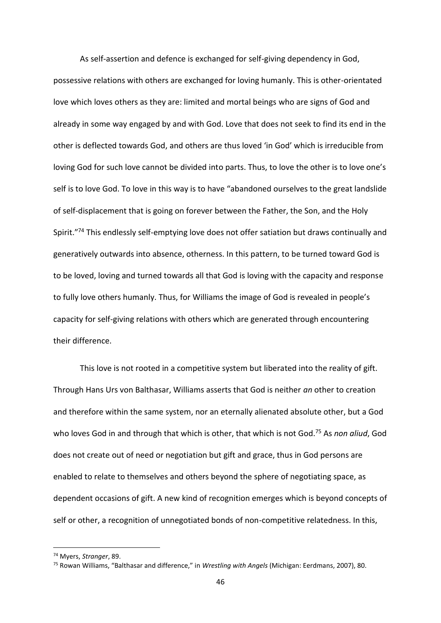As self-assertion and defence is exchanged for self-giving dependency in God, possessive relations with others are exchanged for loving humanly. This is other-orientated love which loves others as they are: limited and mortal beings who are signs of God and already in some way engaged by and with God. Love that does not seek to find its end in the other is deflected towards God, and others are thus loved 'in God' which is irreducible from loving God for such love cannot be divided into parts. Thus, to love the other is to love one's self is to love God. To love in this way is to have "abandoned ourselves to the great landslide of self-displacement that is going on forever between the Father, the Son, and the Holy Spirit."<sup>74</sup> This endlessly self-emptying love does not offer satiation but draws continually and generatively outwards into absence, otherness. In this pattern, to be turned toward God is to be loved, loving and turned towards all that God is loving with the capacity and response to fully love others humanly. Thus, for Williams the image of God is revealed in people's capacity for self-giving relations with others which are generated through encountering their difference.

This love is not rooted in a competitive system but liberated into the reality of gift. Through Hans Urs von Balthasar, Williams asserts that God is neither *an* other to creation and therefore within the same system, nor an eternally alienated absolute other, but a God who loves God in and through that which is other, that which is not God.<sup>75</sup> As *non aliud*, God does not create out of need or negotiation but gift and grace, thus in God persons are enabled to relate to themselves and others beyond the sphere of negotiating space, as dependent occasions of gift. A new kind of recognition emerges which is beyond concepts of self or other, a recognition of unnegotiated bonds of non-competitive relatedness. In this,

<sup>74</sup> Myers, *Stranger*, 89.

<sup>75</sup> Rowan Williams, "Balthasar and difference," in *Wrestling with Angels* (Michigan: Eerdmans, 2007), 80.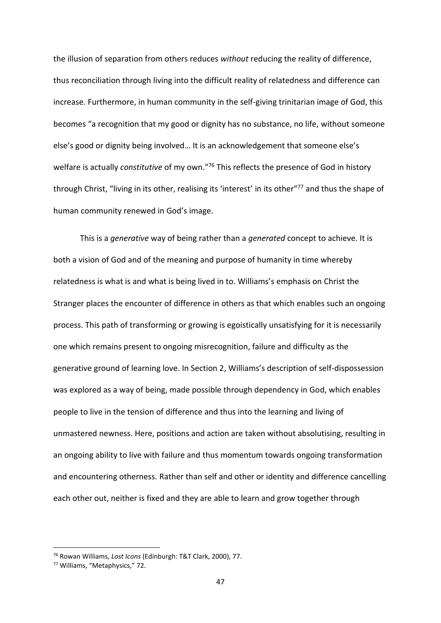the illusion of separation from others reduces *without* reducing the reality of difference, thus reconciliation through living into the difficult reality of relatedness and difference can increase. Furthermore, in human community in the self-giving trinitarian image of God, this becomes "a recognition that my good or dignity has no substance, no life, without someone else's good or dignity being involved… It is an acknowledgement that someone else's welfare is actually *constitutive* of my own."<sup>76</sup> This reflects the presence of God in history through Christ, "living in its other, realising its 'interest' in its other"<sup>77</sup> and thus the shape of human community renewed in God's image.

This is a *generative* way of being rather than a *generated* concept to achieve. It is both a vision of God and of the meaning and purpose of humanity in time whereby relatedness is what is and what is being lived in to. Williams's emphasis on Christ the Stranger places the encounter of difference in others as that which enables such an ongoing process. This path of transforming or growing is egoistically unsatisfying for it is necessarily one which remains present to ongoing misrecognition, failure and difficulty as the generative ground of learning love. In Section 2, Williams's description of self-dispossession was explored as a way of being, made possible through dependency in God, which enables people to live in the tension of difference and thus into the learning and living of unmastered newness. Here, positions and action are taken without absolutising, resulting in an ongoing ability to live with failure and thus momentum towards ongoing transformation and encountering otherness. Rather than self and other or identity and difference cancelling each other out, neither is fixed and they are able to learn and grow together through

<sup>76</sup> Rowan Williams, *Lost Icons* (Edinburgh: T&T Clark, 2000), 77.

<sup>77</sup> Williams, "Metaphysics," 72.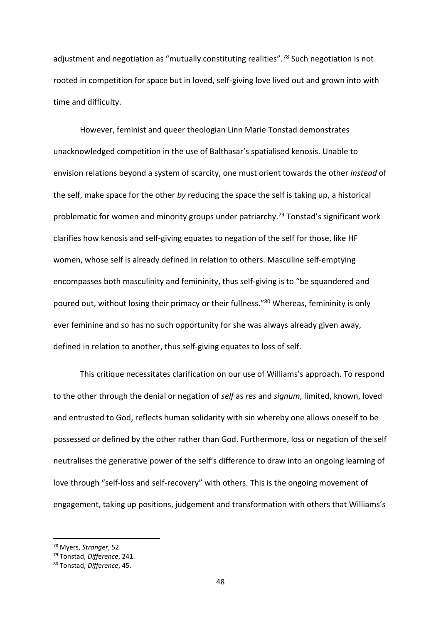adjustment and negotiation as "mutually constituting realities".<sup>78</sup> Such negotiation is not rooted in competition for space but in loved, self-giving love lived out and grown into with time and difficulty.

However, feminist and queer theologian Linn Marie Tonstad demonstrates unacknowledged competition in the use of Balthasar's spatialised kenosis. Unable to envision relations beyond a system of scarcity, one must orient towards the other *instead* of the self, make space for the other *by* reducing the space the self is taking up, a historical problematic for women and minority groups under patriarchy.<sup>79</sup> Tonstad's significant work clarifies how kenosis and self-giving equates to negation of the self for those, like HF women, whose self is already defined in relation to others. Masculine self-emptying encompasses both masculinity and femininity, thus self-giving is to "be squandered and poured out, without losing their primacy or their fullness."<sup>80</sup> Whereas, femininity is only ever feminine and so has no such opportunity for she was always already given away, defined in relation to another, thus self-giving equates to loss of self.

This critique necessitates clarification on our use of Williams's approach. To respond to the other through the denial or negation of *self* as *res* and *signum*, limited, known, loved and entrusted to God, reflects human solidarity with sin whereby one allows oneself to be possessed or defined by the other rather than God. Furthermore, loss or negation of the self neutralises the generative power of the self's difference to draw into an ongoing learning of love through "self-loss and self-recovery" with others. This is the ongoing movement of engagement, taking up positions, judgement and transformation with others that Williams's

<sup>78</sup> Myers, *Stranger*, 52.

<sup>79</sup> Tonstad, *Difference*, 241.

<sup>80</sup> Tonstad, *Difference*, 45.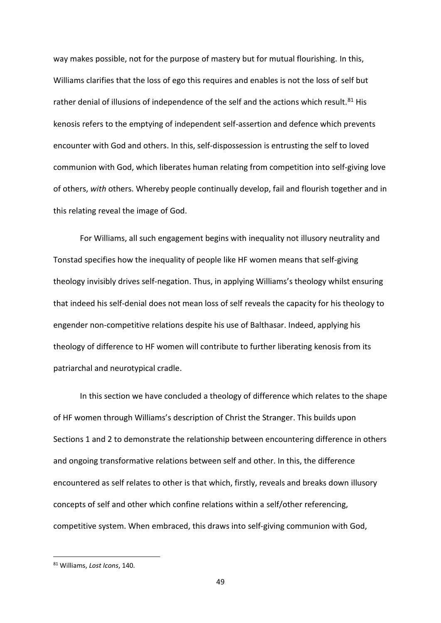way makes possible, not for the purpose of mastery but for mutual flourishing. In this, Williams clarifies that the loss of ego this requires and enables is not the loss of self but rather denial of illusions of independence of the self and the actions which result.<sup>81</sup> His kenosis refers to the emptying of independent self-assertion and defence which prevents encounter with God and others. In this, self-dispossession is entrusting the self to loved communion with God, which liberates human relating from competition into self-giving love of others, *with* others. Whereby people continually develop, fail and flourish together and in this relating reveal the image of God.

For Williams, all such engagement begins with inequality not illusory neutrality and Tonstad specifies how the inequality of people like HF women means that self-giving theology invisibly drives self-negation. Thus, in applying Williams's theology whilst ensuring that indeed his self-denial does not mean loss of self reveals the capacity for his theology to engender non-competitive relations despite his use of Balthasar. Indeed, applying his theology of difference to HF women will contribute to further liberating kenosis from its patriarchal and neurotypical cradle.

In this section we have concluded a theology of difference which relates to the shape of HF women through Williams's description of Christ the Stranger. This builds upon Sections 1 and 2 to demonstrate the relationship between encountering difference in others and ongoing transformative relations between self and other. In this, the difference encountered as self relates to other is that which, firstly, reveals and breaks down illusory concepts of self and other which confine relations within a self/other referencing, competitive system. When embraced, this draws into self-giving communion with God,

<sup>81</sup> Williams, *Lost Icons*, 140.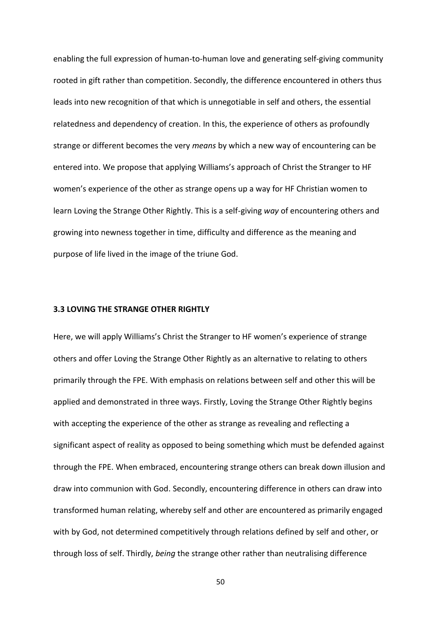enabling the full expression of human-to-human love and generating self-giving community rooted in gift rather than competition. Secondly, the difference encountered in others thus leads into new recognition of that which is unnegotiable in self and others, the essential relatedness and dependency of creation. In this, the experience of others as profoundly strange or different becomes the very *means* by which a new way of encountering can be entered into. We propose that applying Williams's approach of Christ the Stranger to HF women's experience of the other as strange opens up a way for HF Christian women to learn Loving the Strange Other Rightly. This is a self-giving *way* of encountering others and growing into newness together in time, difficulty and difference as the meaning and purpose of life lived in the image of the triune God.

#### **3.3 LOVING THE STRANGE OTHER RIGHTLY**

Here, we will apply Williams's Christ the Stranger to HF women's experience of strange others and offer Loving the Strange Other Rightly as an alternative to relating to others primarily through the FPE. With emphasis on relations between self and other this will be applied and demonstrated in three ways. Firstly, Loving the Strange Other Rightly begins with accepting the experience of the other as strange as revealing and reflecting a significant aspect of reality as opposed to being something which must be defended against through the FPE. When embraced, encountering strange others can break down illusion and draw into communion with God. Secondly, encountering difference in others can draw into transformed human relating, whereby self and other are encountered as primarily engaged with by God, not determined competitively through relations defined by self and other, or through loss of self. Thirdly, *being* the strange other rather than neutralising difference

50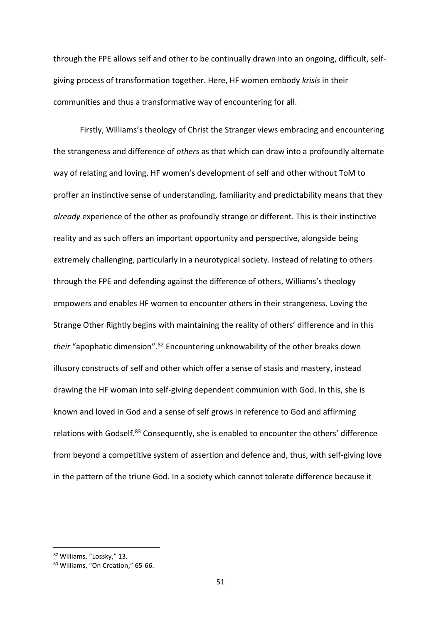through the FPE allows self and other to be continually drawn into an ongoing, difficult, selfgiving process of transformation together. Here, HF women embody *krisis* in their communities and thus a transformative way of encountering for all.

Firstly, Williams's theology of Christ the Stranger views embracing and encountering the strangeness and difference of *others* as that which can draw into a profoundly alternate way of relating and loving. HF women's development of self and other without ToM to proffer an instinctive sense of understanding, familiarity and predictability means that they *already* experience of the other as profoundly strange or different. This is their instinctive reality and as such offers an important opportunity and perspective, alongside being extremely challenging, particularly in a neurotypical society. Instead of relating to others through the FPE and defending against the difference of others, Williams's theology empowers and enables HF women to encounter others in their strangeness. Loving the Strange Other Rightly begins with maintaining the reality of others' difference and in this *their* "apophatic dimension".<sup>82</sup> Encountering unknowability of the other breaks down illusory constructs of self and other which offer a sense of stasis and mastery, instead drawing the HF woman into self-giving dependent communion with God. In this, she is known and loved in God and a sense of self grows in reference to God and affirming relations with Godself.<sup>83</sup> Consequently, she is enabled to encounter the others' difference from beyond a competitive system of assertion and defence and, thus, with self-giving love in the pattern of the triune God. In a society which cannot tolerate difference because it

<sup>82</sup> Williams, "Lossky," 13.

<sup>83</sup> Williams, "On Creation," 65-66.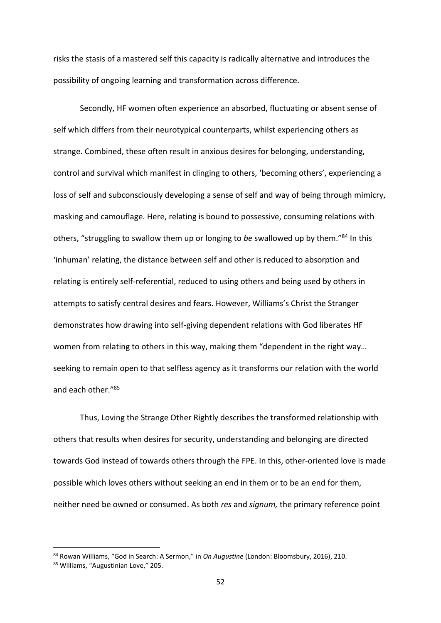risks the stasis of a mastered self this capacity is radically alternative and introduces the possibility of ongoing learning and transformation across difference.

Secondly, HF women often experience an absorbed, fluctuating or absent sense of self which differs from their neurotypical counterparts, whilst experiencing others as strange. Combined, these often result in anxious desires for belonging, understanding, control and survival which manifest in clinging to others, 'becoming others', experiencing a loss of self and subconsciously developing a sense of self and way of being through mimicry, masking and camouflage. Here, relating is bound to possessive, consuming relations with others, "struggling to swallow them up or longing to *be* swallowed up by them."<sup>84</sup> In this 'inhuman' relating, the distance between self and other is reduced to absorption and relating is entirely self-referential, reduced to using others and being used by others in attempts to satisfy central desires and fears. However, Williams's Christ the Stranger demonstrates how drawing into self-giving dependent relations with God liberates HF women from relating to others in this way, making them "dependent in the right way… seeking to remain open to that selfless agency as it transforms our relation with the world and each other."<sup>85</sup>

Thus, Loving the Strange Other Rightly describes the transformed relationship with others that results when desires for security, understanding and belonging are directed towards God instead of towards others through the FPE. In this, other-oriented love is made possible which loves others without seeking an end in them or to be an end for them, neither need be owned or consumed. As both *res* and *signum,* the primary reference point

<sup>84</sup> Rowan Williams, "God in Search: A Sermon," in *On Augustine* (London: Bloomsbury, 2016), 210.

<sup>85</sup> Williams, "Augustinian Love," 205.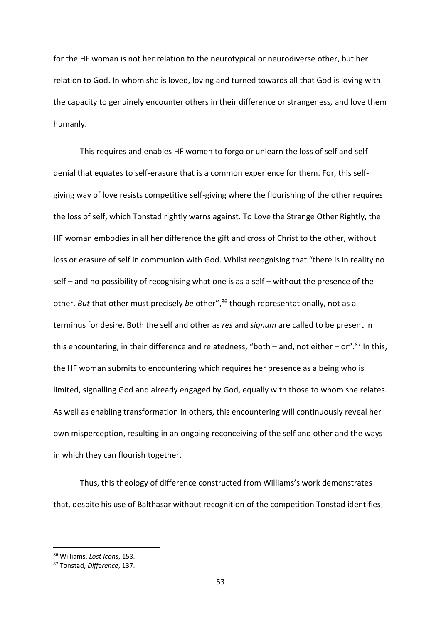for the HF woman is not her relation to the neurotypical or neurodiverse other, but her relation to God. In whom she is loved, loving and turned towards all that God is loving with the capacity to genuinely encounter others in their difference or strangeness, and love them humanly.

This requires and enables HF women to forgo or unlearn the loss of self and selfdenial that equates to self-erasure that is a common experience for them. For, this selfgiving way of love resists competitive self-giving where the flourishing of the other requires the loss of self, which Tonstad rightly warns against. To Love the Strange Other Rightly, the HF woman embodies in all her difference the gift and cross of Christ to the other, without loss or erasure of self in communion with God. Whilst recognising that "there is in reality no self – and no possibility of recognising what one is as a self – without the presence of the other. *But* that other must precisely *be* other", <sup>86</sup> though representationally, not as a terminus for desire. Both the self and other as *res* and *signum* are called to be present in this encountering, in their difference and relatedness, "both – and, not either – or".<sup>87</sup> In this, the HF woman submits to encountering which requires her presence as a being who is limited, signalling God and already engaged by God, equally with those to whom she relates. As well as enabling transformation in others, this encountering will continuously reveal her own misperception, resulting in an ongoing reconceiving of the self and other and the ways in which they can flourish together.

Thus, this theology of difference constructed from Williams's work demonstrates that, despite his use of Balthasar without recognition of the competition Tonstad identifies,

<sup>86</sup> Williams, *Lost Icons*, 153.

<sup>87</sup> Tonstad, *Difference*, 137.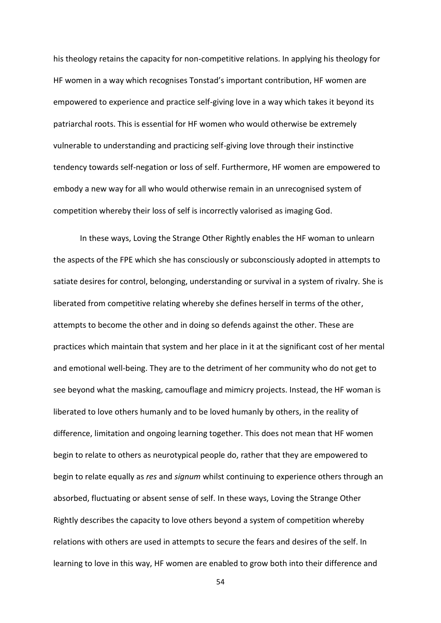his theology retains the capacity for non-competitive relations. In applying his theology for HF women in a way which recognises Tonstad's important contribution, HF women are empowered to experience and practice self-giving love in a way which takes it beyond its patriarchal roots. This is essential for HF women who would otherwise be extremely vulnerable to understanding and practicing self-giving love through their instinctive tendency towards self-negation or loss of self. Furthermore, HF women are empowered to embody a new way for all who would otherwise remain in an unrecognised system of competition whereby their loss of self is incorrectly valorised as imaging God.

In these ways, Loving the Strange Other Rightly enables the HF woman to unlearn the aspects of the FPE which she has consciously or subconsciously adopted in attempts to satiate desires for control, belonging, understanding or survival in a system of rivalry. She is liberated from competitive relating whereby she defines herself in terms of the other, attempts to become the other and in doing so defends against the other. These are practices which maintain that system and her place in it at the significant cost of her mental and emotional well-being. They are to the detriment of her community who do not get to see beyond what the masking, camouflage and mimicry projects. Instead, the HF woman is liberated to love others humanly and to be loved humanly by others, in the reality of difference, limitation and ongoing learning together. This does not mean that HF women begin to relate to others as neurotypical people do, rather that they are empowered to begin to relate equally as *res* and *signum* whilst continuing to experience others through an absorbed, fluctuating or absent sense of self. In these ways, Loving the Strange Other Rightly describes the capacity to love others beyond a system of competition whereby relations with others are used in attempts to secure the fears and desires of the self. In learning to love in this way, HF women are enabled to grow both into their difference and

54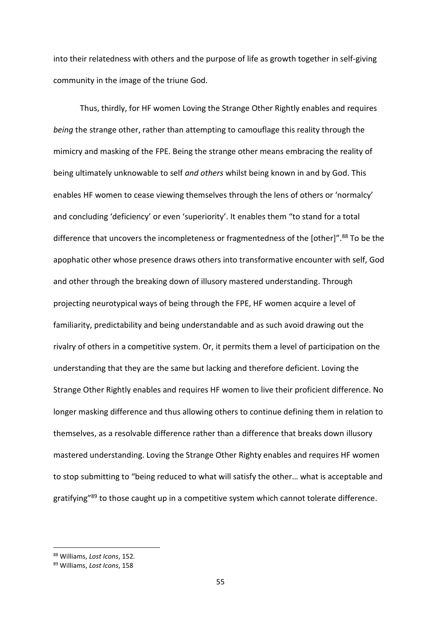into their relatedness with others and the purpose of life as growth together in self-giving community in the image of the triune God.

Thus, thirdly, for HF women Loving the Strange Other Rightly enables and requires *being* the strange other, rather than attempting to camouflage this reality through the mimicry and masking of the FPE. Being the strange other means embracing the reality of being ultimately unknowable to self *and others* whilst being known in and by God. This enables HF women to cease viewing themselves through the lens of others or 'normalcy' and concluding 'deficiency' or even 'superiority'. It enables them "to stand for a total difference that uncovers the incompleteness or fragmentedness of the [other]".<sup>88</sup> To be the apophatic other whose presence draws others into transformative encounter with self, God and other through the breaking down of illusory mastered understanding. Through projecting neurotypical ways of being through the FPE, HF women acquire a level of familiarity, predictability and being understandable and as such avoid drawing out the rivalry of others in a competitive system. Or, it permits them a level of participation on the understanding that they are the same but lacking and therefore deficient. Loving the Strange Other Rightly enables and requires HF women to live their proficient difference. No longer masking difference and thus allowing others to continue defining them in relation to themselves, as a resolvable difference rather than a difference that breaks down illusory mastered understanding. Loving the Strange Other Righty enables and requires HF women to stop submitting to "being reduced to what will satisfy the other… what is acceptable and gratifying"<sup>89</sup> to those caught up in a competitive system which cannot tolerate difference.

<sup>88</sup> Williams, *Lost Icons*, 152.

<sup>89</sup> Williams, *Lost Icons*, 158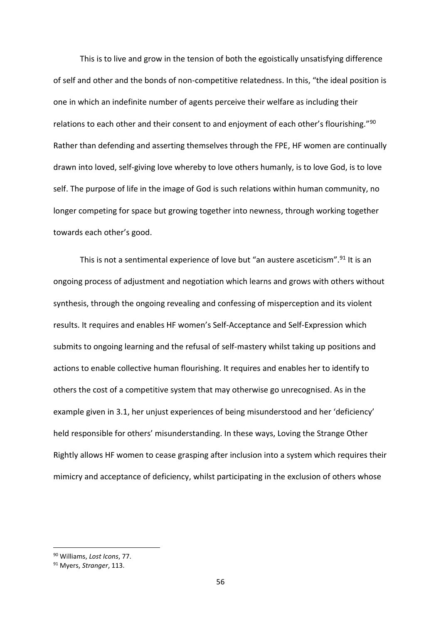This is to live and grow in the tension of both the egoistically unsatisfying difference of self and other and the bonds of non-competitive relatedness. In this, "the ideal position is one in which an indefinite number of agents perceive their welfare as including their relations to each other and their consent to and enjoyment of each other's flourishing."<sup>90</sup> Rather than defending and asserting themselves through the FPE, HF women are continually drawn into loved, self-giving love whereby to love others humanly, is to love God, is to love self. The purpose of life in the image of God is such relations within human community, no longer competing for space but growing together into newness, through working together towards each other's good.

This is not a sentimental experience of love but "an austere asceticism".<sup>91</sup> It is an ongoing process of adjustment and negotiation which learns and grows with others without synthesis, through the ongoing revealing and confessing of misperception and its violent results. It requires and enables HF women's Self-Acceptance and Self-Expression which submits to ongoing learning and the refusal of self-mastery whilst taking up positions and actions to enable collective human flourishing. It requires and enables her to identify to others the cost of a competitive system that may otherwise go unrecognised. As in the example given in 3.1, her unjust experiences of being misunderstood and her 'deficiency' held responsible for others' misunderstanding. In these ways, Loving the Strange Other Rightly allows HF women to cease grasping after inclusion into a system which requires their mimicry and acceptance of deficiency, whilst participating in the exclusion of others whose

<sup>90</sup> Williams, *Lost Icons*, 77.

<sup>91</sup> Myers, *Stranger*, 113.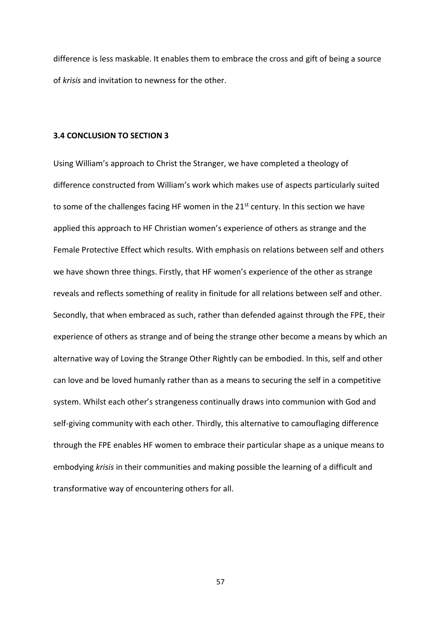difference is less maskable. It enables them to embrace the cross and gift of being a source of *krisis* and invitation to newness for the other.

# **3.4 CONCLUSION TO SECTION 3**

Using William's approach to Christ the Stranger, we have completed a theology of difference constructed from William's work which makes use of aspects particularly suited to some of the challenges facing HF women in the 21<sup>st</sup> century. In this section we have applied this approach to HF Christian women's experience of others as strange and the Female Protective Effect which results. With emphasis on relations between self and others we have shown three things. Firstly, that HF women's experience of the other as strange reveals and reflects something of reality in finitude for all relations between self and other. Secondly, that when embraced as such, rather than defended against through the FPE, their experience of others as strange and of being the strange other become a means by which an alternative way of Loving the Strange Other Rightly can be embodied. In this, self and other can love and be loved humanly rather than as a means to securing the self in a competitive system. Whilst each other's strangeness continually draws into communion with God and self-giving community with each other. Thirdly, this alternative to camouflaging difference through the FPE enables HF women to embrace their particular shape as a unique means to embodying *krisis* in their communities and making possible the learning of a difficult and transformative way of encountering others for all.

57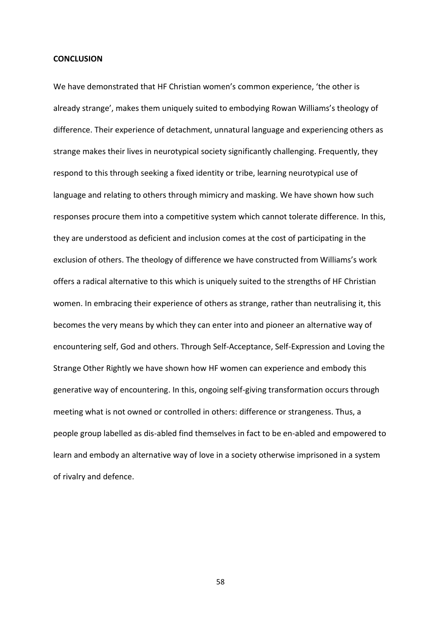#### **CONCLUSION**

We have demonstrated that HF Christian women's common experience, 'the other is already strange', makes them uniquely suited to embodying Rowan Williams's theology of difference. Their experience of detachment, unnatural language and experiencing others as strange makes their lives in neurotypical society significantly challenging. Frequently, they respond to this through seeking a fixed identity or tribe, learning neurotypical use of language and relating to others through mimicry and masking. We have shown how such responses procure them into a competitive system which cannot tolerate difference. In this, they are understood as deficient and inclusion comes at the cost of participating in the exclusion of others. The theology of difference we have constructed from Williams's work offers a radical alternative to this which is uniquely suited to the strengths of HF Christian women. In embracing their experience of others as strange, rather than neutralising it, this becomes the very means by which they can enter into and pioneer an alternative way of encountering self, God and others. Through Self-Acceptance, Self-Expression and Loving the Strange Other Rightly we have shown how HF women can experience and embody this generative way of encountering. In this, ongoing self-giving transformation occurs through meeting what is not owned or controlled in others: difference or strangeness. Thus, a people group labelled as dis-abled find themselves in fact to be en-abled and empowered to learn and embody an alternative way of love in a society otherwise imprisoned in a system of rivalry and defence.

58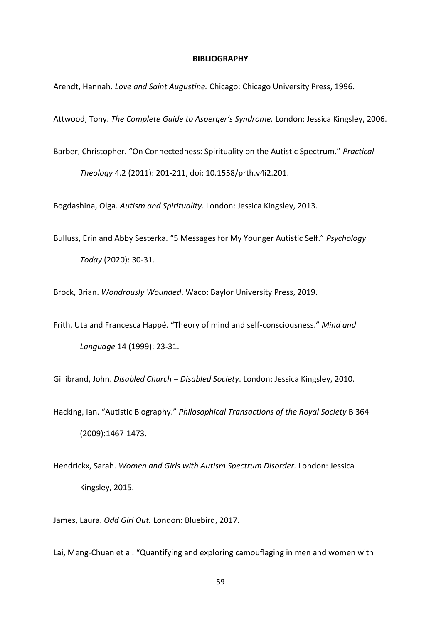#### **BIBLIOGRAPHY**

Arendt, Hannah. *Love and Saint Augustine.* Chicago: Chicago University Press, 1996.

Attwood, Tony. *The Complete Guide to Asperger's Syndrome.* London: Jessica Kingsley, 2006.

Barber, Christopher. "On Connectedness: Spirituality on the Autistic Spectrum." *Practical Theology* 4.2 (2011): 201-211, doi: 10.1558/prth.v4i2.201.

Bogdashina, Olga. *Autism and Spirituality.* London: Jessica Kingsley, 2013.

Bulluss, Erin and Abby Sesterka. "5 Messages for My Younger Autistic Self." *Psychology Today* (2020): 30-31.

Brock, Brian. *Wondrously Wounded*. Waco: Baylor University Press, 2019.

Frith, Uta and Francesca Happé. "Theory of mind and self-consciousness." *Mind and Language* 14 (1999): 23-31.

Gillibrand, John. *Disabled Church – Disabled Society*. London: Jessica Kingsley, 2010.

Hacking, Ian. "Autistic Biography." *Philosophical Transactions of the Royal Society* B 364 (2009):1467-1473.

Hendrickx, Sarah. *Women and Girls with Autism Spectrum Disorder.* London: Jessica Kingsley, 2015.

James, Laura. *Odd Girl Out.* London: Bluebird, 2017.

Lai, Meng-Chuan et al. "Quantifying and exploring camouflaging in men and women with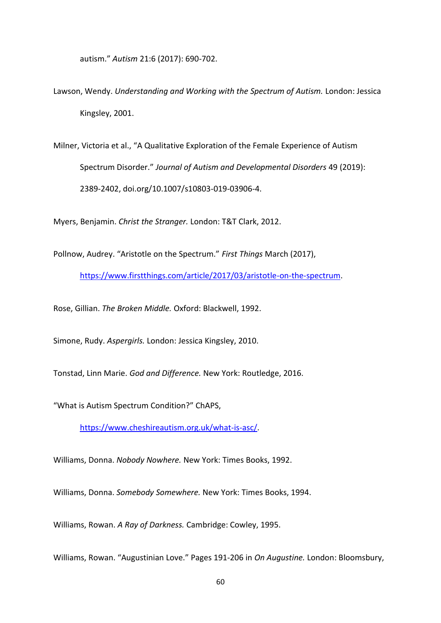autism." *Autism* 21:6 (2017): 690-702.

- Lawson, Wendy. *Understanding and Working with the Spectrum of Autism.* London: Jessica Kingsley, 2001.
- Milner, Victoria et al., "A Qualitative Exploration of the Female Experience of Autism Spectrum Disorder." *Journal of Autism and Developmental Disorders* 49 (2019): 2389-2402, doi.org/10.1007/s10803-019-03906-4.

Myers, Benjamin. *Christ the Stranger.* London: T&T Clark, 2012.

Pollnow, Audrey. "Aristotle on the Spectrum." *First Things* March (2017),

[https://www.firstthings.com/article/2017/03/aristotle-on-the-spectrum.](about:blank)

Rose, Gillian. *The Broken Middle.* Oxford: Blackwell, 1992.

Simone, Rudy. *Aspergirls.* London: Jessica Kingsley, 2010.

Tonstad, Linn Marie. *God and Difference.* New York: Routledge, 2016.

"What is Autism Spectrum Condition?" ChAPS,

[https://www.cheshireautism.org.uk/what-is-asc/.](about:blank)

Williams, Donna. *Nobody Nowhere.* New York: Times Books, 1992.

Williams, Donna. *Somebody Somewhere.* New York: Times Books, 1994.

Williams, Rowan. *A Ray of Darkness.* Cambridge: Cowley, 1995.

Williams, Rowan. "Augustinian Love." Pages 191-206 in *On Augustine.* London: Bloomsbury,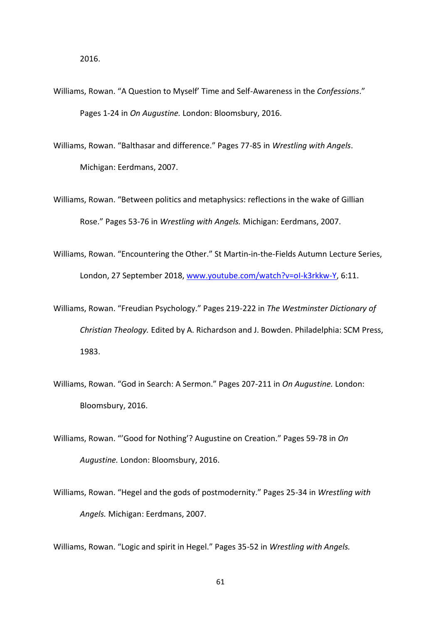- Williams, Rowan. "A Question to Myself' Time and Self-Awareness in the *Confessions*." Pages 1-24 in *On Augustine.* London: Bloomsbury, 2016.
- Williams, Rowan. "Balthasar and difference." Pages 77-85 in *Wrestling with Angels*. Michigan: Eerdmans, 2007.
- Williams, Rowan. "Between politics and metaphysics: reflections in the wake of Gillian Rose." Pages 53-76 in *Wrestling with Angels.* Michigan: Eerdmans, 2007.
- Williams, Rowan. "Encountering the Other." St Martin-in-the-Fields Autumn Lecture Series, London, 27 September 2018, [www.youtube.com/watch?v=oI-k3rkkw-Y,](about:blank) 6:11.
- Williams, Rowan. "Freudian Psychology." Pages 219-222 in *The Westminster Dictionary of Christian Theology.* Edited by A. Richardson and J. Bowden. Philadelphia: SCM Press, 1983.
- Williams, Rowan. "God in Search: A Sermon." Pages 207-211 in *On Augustine.* London: Bloomsbury, 2016.
- Williams, Rowan. "'Good for Nothing'? Augustine on Creation." Pages 59-78 in *On Augustine.* London: Bloomsbury, 2016.
- Williams, Rowan. "Hegel and the gods of postmodernity." Pages 25-34 in *Wrestling with Angels.* Michigan: Eerdmans, 2007.

Williams, Rowan. "Logic and spirit in Hegel." Pages 35-52 in *Wrestling with Angels.*